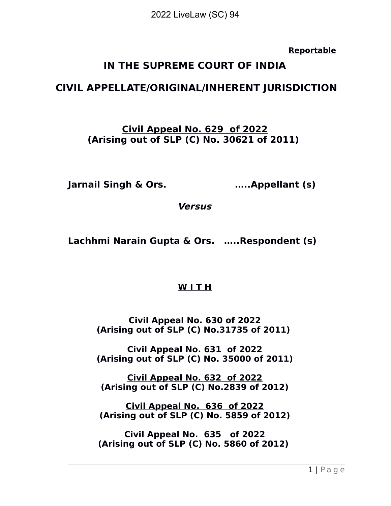**Reportable**

# **IN THE SUPREME COURT OF INDIA**

# **CIVIL APPELLATE/ORIGINAL/INHERENT JURISDICTION**

# **Civil Appeal No. 629 of 2022 (Arising out of SLP (C) No. 30621 of 2011)**

**Jarnail Singh & Ors. …..Appellant (s)** 

**Versus**

**Lachhmi Narain Gupta & Ors. …..Respondent (s)**

# **W I T H**

**Civil Appeal No. 630 of 2022 (Arising out of SLP (C) No.31735 of 2011)** 

**Civil Appeal No. 631 of 2022 (Arising out of SLP (C) No. 35000 of 2011)**

**Civil Appeal No. 632 of 2022 (Arising out of SLP (C) No.2839 of 2012)**

**Civil Appeal No. 636 of 2022 (Arising out of SLP (C) No. 5859 of 2012)**

**Civil Appeal No. 635 of 2022 (Arising out of SLP (C) No. 5860 of 2012)**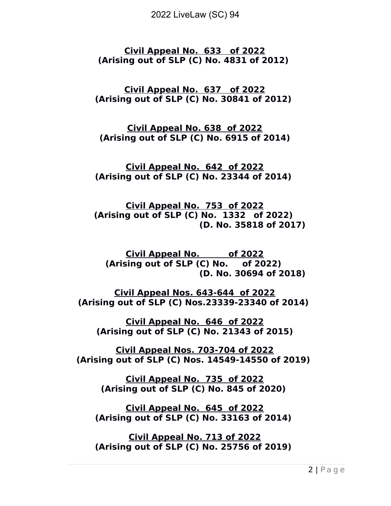**Civil Appeal No. 633 of 2022 (Arising out of SLP (C) No. 4831 of 2012)** 

**Civil Appeal No. 637 of 2022 (Arising out of SLP (C) No. 30841 of 2012)** 

**Civil Appeal No. 638 of 2022 (Arising out of SLP (C) No. 6915 of 2014)**

**Civil Appeal No. 642 of 2022 (Arising out of SLP (C) No. 23344 of 2014)** 

**Civil Appeal No. 753 of 2022 (Arising out of SLP (C) No. 1332 of 2022) (D. No. 35818 of 2017)**

**Civil Appeal No. of 2022 (Arising out of SLP (C) No. of 2022) (D. No. 30694 of 2018)**

**Civil Appeal Nos. 643-644 of 2022 (Arising out of SLP (C) Nos.23339-23340 of 2014)** 

**Civil Appeal No. 646 of 2022 (Arising out of SLP (C) No. 21343 of 2015)**

**Civil Appeal Nos. 703-704 of 2022 (Arising out of SLP (C) Nos. 14549-14550 of 2019)** 

> **Civil Appeal No. 735 of 2022 (Arising out of SLP (C) No. 845 of 2020)**

**Civil Appeal No. 645 of 2022 (Arising out of SLP (C) No. 33163 of 2014)** 

**Civil Appeal No. 713 of 2022 (Arising out of SLP (C) No. 25756 of 2019)**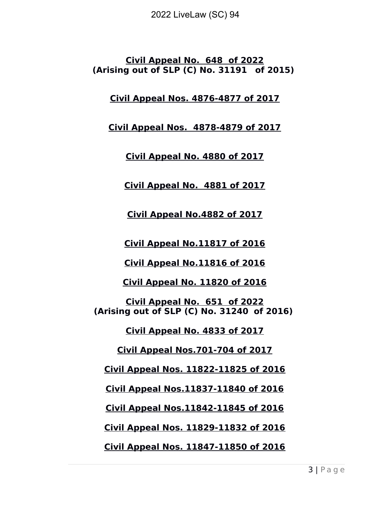**Civil Appeal No. 648 of 2022 (Arising out of SLP (C) No. 31191 of 2015)** 

**Civil Appeal Nos. 4876-4877 of 2017**

**Civil Appeal Nos. 4878-4879 of 2017**

**Civil Appeal No. 4880 of 2017**

**Civil Appeal No. 4881 of 2017**

**Civil Appeal No.4882 of 2017**

**Civil Appeal No.11817 of 2016**

**Civil Appeal No.11816 of 2016**

**Civil Appeal No. 11820 of 2016**

**Civil Appeal No. 651 of 2022 (Arising out of SLP (C) No. 31240 of 2016)** 

**Civil Appeal No. 4833 of 2017**

**Civil Appeal Nos.701-704 of 2017**

**Civil Appeal Nos. 11822-11825 of 2016**

**Civil Appeal Nos.11837-11840 of 2016**

**Civil Appeal Nos.11842-11845 of 2016**

**Civil Appeal Nos. 11829-11832 of 2016**

**Civil Appeal Nos. 11847-11850 of 2016**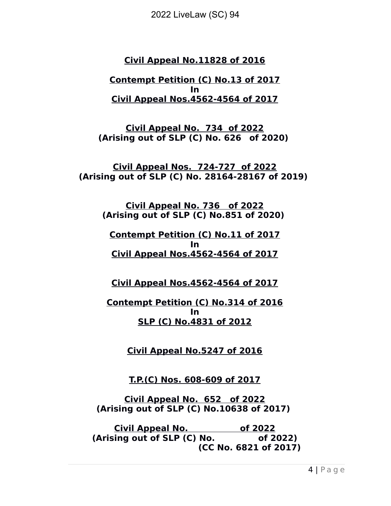## **Civil Appeal No.11828 of 2016**

**Contempt Petition (C) No.13 of 2017 In Civil Appeal Nos.4562-4564 of 2017**

**Civil Appeal No. 734 of 2022 (Arising out of SLP (C) No. 626 of 2020)** 

**Civil Appeal Nos. 724-727 of 2022 (Arising out of SLP (C) No. 28164-28167 of 2019)** 

**Civil Appeal No. 736 of 2022 (Arising out of SLP (C) No.851 of 2020)** 

#### **Contempt Petition (C) No.11 of 2017 In Civil Appeal Nos.4562-4564 of 2017**

**Civil Appeal Nos.4562-4564 of 2017**

#### **Contempt Petition (C) No.314 of 2016 In SLP (C) No.4831 of 2012**

**Civil Appeal No.5247 of 2016**

**T.P.(C) Nos. 608-609 of 2017**

**Civil Appeal No. 652 of 2022 (Arising out of SLP (C) No.10638 of 2017)** 

**Civil Appeal No. of 2022 (Arising out of SLP (C) No. of 2022) (CC No. 6821 of 2017)**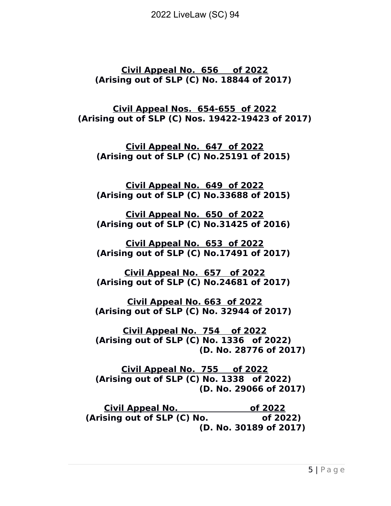**Civil Appeal No. 656 of 2022 (Arising out of SLP (C) No. 18844 of 2017)** 

**Civil Appeal Nos. 654-655 of 2022 (Arising out of SLP (C) Nos. 19422-19423 of 2017)**

**Civil Appeal No. 647 of 2022 (Arising out of SLP (C) No.25191 of 2015)** 

**Civil Appeal No. 649 of 2022 (Arising out of SLP (C) No.33688 of 2015)** 

**Civil Appeal No. 650 of 2022 (Arising out of SLP (C) No.31425 of 2016)** 

**Civil Appeal No. 653 of 2022 (Arising out of SLP (C) No.17491 of 2017)** 

**Civil Appeal No. 657 of 2022 (Arising out of SLP (C) No.24681 of 2017)** 

**Civil Appeal No. 663 of 2022 (Arising out of SLP (C) No. 32944 of 2017)** 

**Civil Appeal No. 754 of 2022 (Arising out of SLP (C) No. 1336 of 2022) (D. No. 28776 of 2017)**

**Civil Appeal No. 755 of 2022 (Arising out of SLP (C) No. 1338 of 2022) (D. No. 29066 of 2017)**

**Civil Appeal No. of 2022 (Arising out of SLP (C) No. of 2022) (D. No. 30189 of 2017)**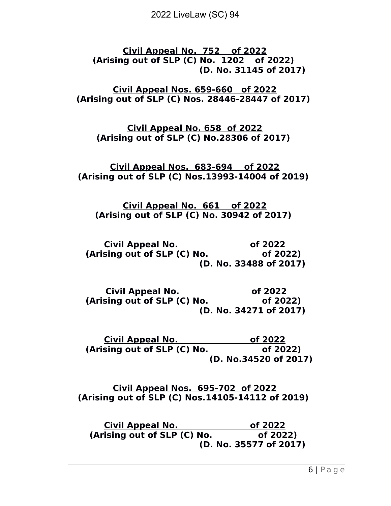**Civil Appeal No. 752 of 2022 (Arising out of SLP (C) No. 1202 of 2022) (D. No. 31145 of 2017)**

**Civil Appeal Nos. 659-660 of 2022 (Arising out of SLP (C) Nos. 28446-28447 of 2017)** 

**Civil Appeal No. 658 of 2022 (Arising out of SLP (C) No.28306 of 2017)** 

**Civil Appeal Nos. 683-694 of 2022 (Arising out of SLP (C) Nos.13993-14004 of 2019)** 

**Civil Appeal No. 661 of 2022 (Arising out of SLP (C) No. 30942 of 2017)** 

**Civil Appeal No. of 2022 (Arising out of SLP (C) No. of 2022) (D. No. 33488 of 2017)**

**Civil Appeal No.** 66 2022 **(Arising out of SLP (C) No. of 2022) (D. No. 34271 of 2017)**

**Civil Appeal No. of 2022 (Arising out of SLP (C) No. of 2022) (D. No.34520 of 2017)**

**Civil Appeal Nos. 695-702 of 2022 (Arising out of SLP (C) Nos.14105-14112 of 2019)** 

**Civil Appeal No. of 2022 (Arising out of SLP (C) No. of 2022) (D. No. 35577 of 2017)**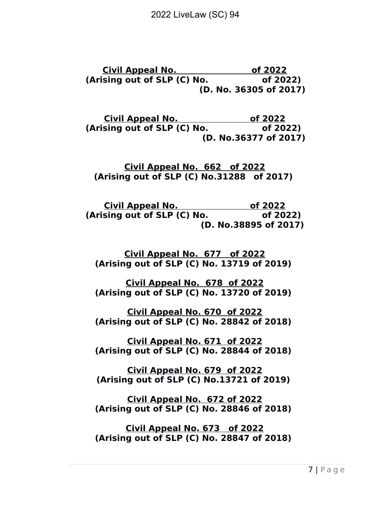**Civil Appeal No.** 66 2022 **(Arising out of SLP (C) No. of 2022) (D. No. 36305 of 2017)**

**Civil Appeal No.** 66 2022 **(Arising out of SLP (C) No. of 2022) (D. No.36377 of 2017)**

**Civil Appeal No. 662 of 2022 (Arising out of SLP (C) No.31288 of 2017)** 

**Civil Appeal No. of 2022 (Arising out of SLP (C) No. of 2022) (D. No.38895 of 2017)**

**Civil Appeal No. 677 of 2022 (Arising out of SLP (C) No. 13719 of 2019)** 

**Civil Appeal No. 678 of 2022 (Arising out of SLP (C) No. 13720 of 2019)** 

**Civil Appeal No. 670 of 2022 (Arising out of SLP (C) No. 28842 of 2018)** 

**Civil Appeal No. 671 of 2022 (Arising out of SLP (C) No. 28844 of 2018)** 

**Civil Appeal No. 679 of 2022 (Arising out of SLP (C) No.13721 of 2019)** 

**Civil Appeal No. 672 of 2022 (Arising out of SLP (C) No. 28846 of 2018)** 

**Civil Appeal No. 673 of 2022 (Arising out of SLP (C) No. 28847 of 2018)**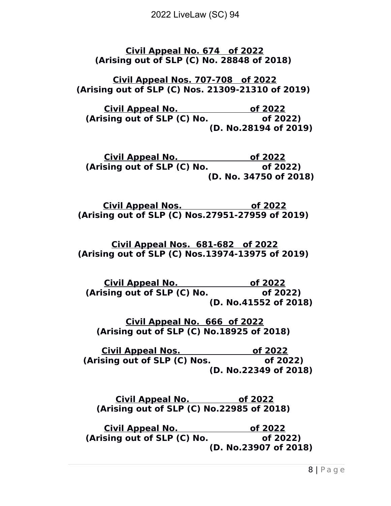**Civil Appeal No. 674 of 2022 (Arising out of SLP (C) No. 28848 of 2018)** 

**Civil Appeal Nos. 707-708 of 2022 (Arising out of SLP (C) Nos. 21309-21310 of 2019)** 

**Civil Appeal No. of 2022 (Arising out of SLP (C) No. of 2022) (D. No.28194 of 2019)**

**Civil Appeal No.** 66 2022 **(Arising out of SLP (C) No. of 2022) (D. No. 34750 of 2018)**

**Civil Appeal Nos. of 2022 (Arising out of SLP (C) Nos.27951-27959 of 2019)** 

**Civil Appeal Nos. 681-682 of 2022 (Arising out of SLP (C) Nos.13974-13975 of 2019)** 

**Civil Appeal No. of 2022 (Arising out of SLP (C) No. of 2022) (D. No.41552 of 2018)**

**Civil Appeal No. 666 of 2022 (Arising out of SLP (C) No.18925 of 2018)** 

**Civil Appeal Nos. of 2022 (Arising out of SLP (C) Nos. of 2022) (D. No.22349 of 2018)**

**Civil Appeal No. of 2022 (Arising out of SLP (C) No.22985 of 2018)** 

**Civil Appeal No. of 2022** (Arising out of SLP (C) No. **of 2022**)  **(D. No.23907 of 2018)**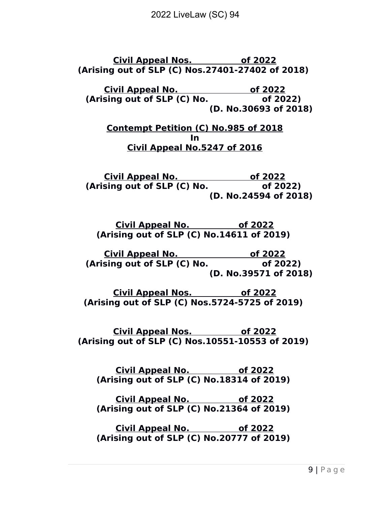**Civil Appeal Nos. of 2022 (Arising out of SLP (C) Nos.27401-27402 of 2018)** 

**Civil Appeal No. of 2022 (Arising out of SLP (C) No. of 2022) (D. No.30693 of 2018)**

**Contempt Petition (C) No.985 of 2018 In Civil Appeal No.5247 of 2016**

**Civil Appeal No. of 2022 (Arising out of SLP (C) No. of 2022) (D. No.24594 of 2018)**

**Civil Appeal No. of 2022 (Arising out of SLP (C) No.14611 of 2019)** 

**Civil Appeal No.** 66 2022 **(Arising out of SLP (C) No. of 2022) (D. No.39571 of 2018)**

**Civil Appeal Nos. of 2022 (Arising out of SLP (C) Nos.5724-5725 of 2019)** 

**Civil Appeal Nos. of 2022 (Arising out of SLP (C) Nos.10551-10553 of 2019)** 

**Civil Appeal No. of 2022 (Arising out of SLP (C) No.18314 of 2019)** 

**Civil Appeal No. of 2022 (Arising out of SLP (C) No.21364 of 2019)** 

**Civil Appeal No. of 2022 (Arising out of SLP (C) No.20777 of 2019)**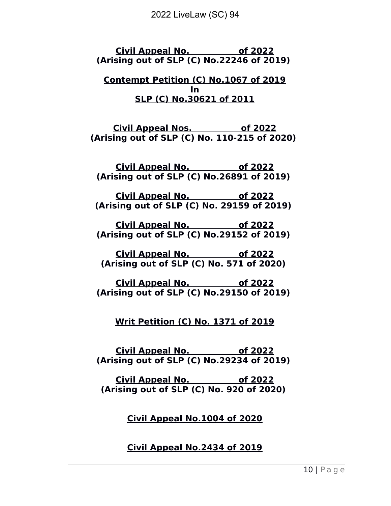**Civil Appeal No. of 2022 (Arising out of SLP (C) No.22246 of 2019)** 

#### **Contempt Petition (C) No.1067 of 2019 In SLP (C) No.30621 of 2011**

**Civil Appeal Nos. of 2022 (Arising out of SLP (C) No. 110-215 of 2020)** 

**Civil Appeal No. of 2022 (Arising out of SLP (C) No.26891 of 2019)** 

**Civil Appeal No. of 2022 (Arising out of SLP (C) No. 29159 of 2019)** 

**Civil Appeal No. of 2022 (Arising out of SLP (C) No.29152 of 2019)** 

**Civil Appeal No. of 2022 (Arising out of SLP (C) No. 571 of 2020)** 

**Civil Appeal No. of 2022 (Arising out of SLP (C) No.29150 of 2019)** 

**Writ Petition (C) No. 1371 of 2019**

**Civil Appeal No. of 2022 (Arising out of SLP (C) No.29234 of 2019)** 

**Civil Appeal No. of 2022 (Arising out of SLP (C) No. 920 of 2020)** 

**Civil Appeal No.1004 of 2020**

# **Civil Appeal No.2434 of 2019**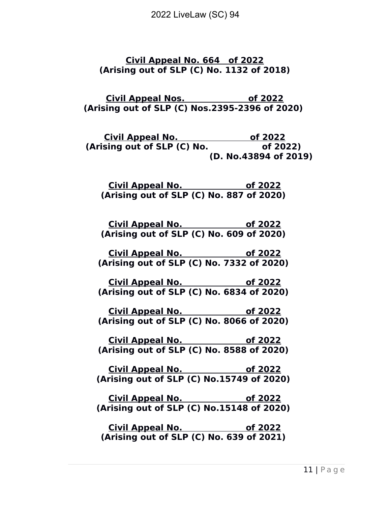**Civil Appeal No. 664 of 2022 (Arising out of SLP (C) No. 1132 of 2018)**

**Civil Appeal Nos. of 2022 (Arising out of SLP (C) Nos.2395-2396 of 2020)** 

**Civil Appeal No. of 2022 (Arising out of SLP (C) No. of 2022) (D. No.43894 of 2019)**

**Civil Appeal No. of 2022 (Arising out of SLP (C) No. 887 of 2020)** 

**Civil Appeal No. of 2022 (Arising out of SLP (C) No. 609 of 2020)** 

**Civil Appeal No. of 2022 (Arising out of SLP (C) No. 7332 of 2020)** 

**Civil Appeal No. of 2022 (Arising out of SLP (C) No. 6834 of 2020)** 

**Civil Appeal No. of 2022 (Arising out of SLP (C) No. 8066 of 2020)** 

**Civil Appeal No. of 2022 (Arising out of SLP (C) No. 8588 of 2020)** 

**Civil Appeal No. of 2022 (Arising out of SLP (C) No.15749 of 2020)** 

**Civil Appeal No. of 2022 (Arising out of SLP (C) No.15148 of 2020)** 

**Civil Appeal No. of 2022 (Arising out of SLP (C) No. 639 of 2021)**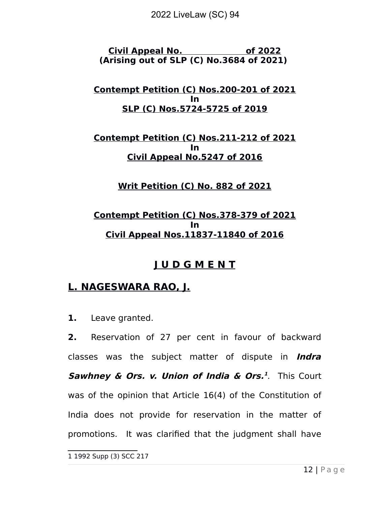**Civil Appeal No. of 2022 (Arising out of SLP (C) No.3684 of 2021)** 

**Contempt Petition (C) Nos.200-201 of 2021 In SLP (C) Nos.5724-5725 of 2019**

**Contempt Petition (C) Nos.211-212 of 2021 In Civil Appeal No.5247 of 2016**

**Writ Petition (C) No. 882 of 2021**

## **Contempt Petition (C) Nos.378-379 of 2021 In Civil Appeal Nos.11837-11840 of 2016**

# **J U D G M E N T**

# **L. NAGESWARA RAO, J.**

**1.** Leave granted.

**2.** Reservation of 27 per cent in favour of backward classes was the subject matter of dispute in **Indra Sawhney & Ors. v. Union of India & Ors. [1](#page-11-0)** . This Court was of the opinion that Article 16(4) of the Constitution of India does not provide for reservation in the matter of promotions. It was clarified that the judgment shall have

<span id="page-11-0"></span><sup>1</sup> 1992 Supp (3) SCC 217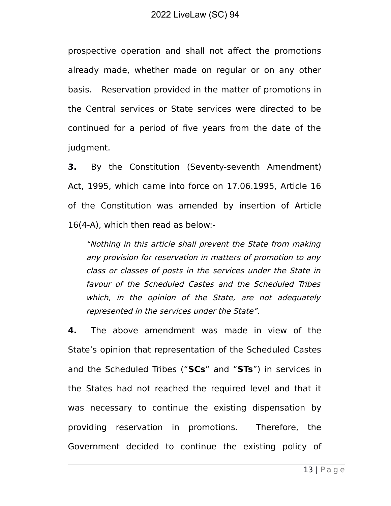prospective operation and shall not affect the promotions already made, whether made on regular or on any other basis. Reservation provided in the matter of promotions in the Central services or State services were directed to be continued for a period of five years from the date of the judgment.

**3.** By the Constitution (Seventy-seventh Amendment) Act, 1995, which came into force on 17.06.1995, Article 16 of the Constitution was amended by insertion of Article 16(4-A), which then read as below:-

"Nothing in this article shall prevent the State from making any provision for reservation in matters of promotion to any class or classes of posts in the services under the State in favour of the Scheduled Castes and the Scheduled Tribes which, in the opinion of the State, are not adequately represented in the services under the State".

**4.** The above amendment was made in view of the State's opinion that representation of the Scheduled Castes and the Scheduled Tribes ("**SCs**" and "**STs**") in services in the States had not reached the required level and that it was necessary to continue the existing dispensation by providing reservation in promotions. Therefore, the Government decided to continue the existing policy of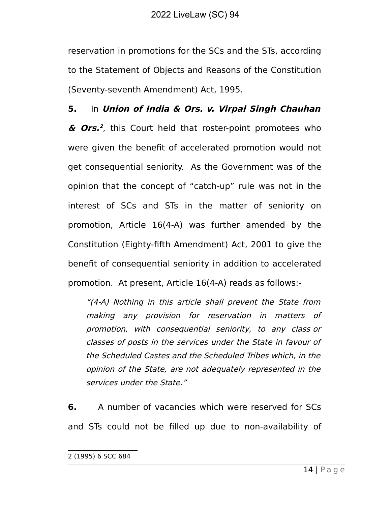reservation in promotions for the SCs and the STs, according to the Statement of Objects and Reasons of the Constitution (Seventy-seventh Amendment) Act, 1995.

**5.** In **Union of India & Ors. v. Virpal Singh Chauhan & Ors. [2](#page-13-0)** , this Court held that roster-point promotees who were given the benefit of accelerated promotion would not get consequential seniority. As the Government was of the opinion that the concept of "catch-up" rule was not in the interest of SCs and STs in the matter of seniority on promotion, Article 16(4-A) was further amended by the Constitution (Eighty-fifth Amendment) Act, 2001 to give the benefit of consequential seniority in addition to accelerated promotion. At present, Article 16(4-A) reads as follows:-

"(4-A) Nothing in this article shall prevent the State from making any provision for reservation in matters of promotion, with consequential seniority, to any class or classes of posts in the services under the State in favour of the Scheduled Castes and the Scheduled Tribes which, in the opinion of the State, are not adequately represented in the services under the State."

**6.** A number of vacancies which were reserved for SCs and STs could not be filled up due to non-availability of

<span id="page-13-0"></span><sup>2 (1995)</sup> 6 SCC 684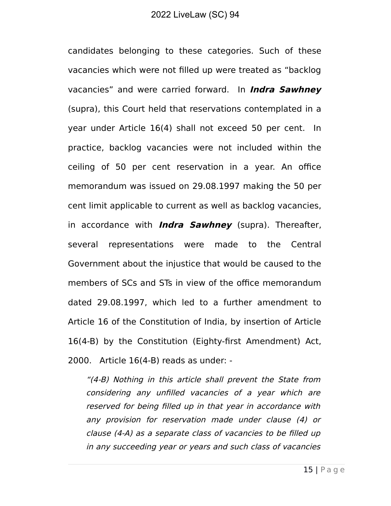candidates belonging to these categories. Such of these vacancies which were not filled up were treated as "backlog vacancies" and were carried forward. In **Indra Sawhney** (supra), this Court held that reservations contemplated in a year under Article 16(4) shall not exceed 50 per cent. In practice, backlog vacancies were not included within the ceiling of 50 per cent reservation in a year. An office memorandum was issued on 29.08.1997 making the 50 per cent limit applicable to current as well as backlog vacancies, in accordance with **Indra Sawhney** (supra). Thereafter, several representations were made to the Central Government about the injustice that would be caused to the members of SCs and STs in view of the office memorandum dated 29.08.1997, which led to a further amendment to Article 16 of the Constitution of India, by insertion of Article 16(4-B) by the Constitution (Eighty-first Amendment) Act, 2000. Article 16(4-B) reads as under: -

"(4-B) Nothing in this article shall prevent the State from considering any unfilled vacancies of <sup>a</sup> year which are reserved for being filled up in that year in accordance with any provision for reservation made under clause (4) or clause (4-A) as a separate class of vacancies to be filled up in any succeeding year or years and such class of vacancies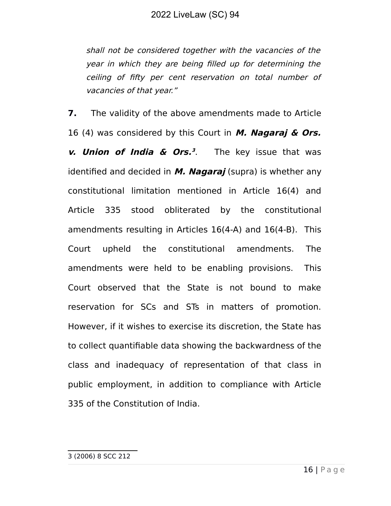shall not be considered together with the vacancies of the year in which they are being filled up for determining the ceiling of fifty per cent reservation on total number of vacancies of that year."

<span id="page-15-0"></span>**7.** The validity of the above amendments made to Article 16 (4) was considered by this Court in **M. Nagaraj & Ors. v. Union of India & Ors. [3](#page-15-0)** The key issue that was identified and decided in **M. Nagaraj** (supra) is whether any constitutional limitation mentioned in Article 16(4) and Article 335 stood obliterated by the constitutional amendments resulting in Articles 16(4-A) and 16(4-B). This Court upheld the constitutional amendments. The amendments were held to be enabling provisions. This Court observed that the State is not bound to make reservation for SCs and STs in matters of promotion. However, if it wishes to exercise its discretion, the State has to collect quantifiable data showing the backwardness of the class and inadequacy of representation of that class in public employment, in addition to compliance with Article 335 of the Constitution of India.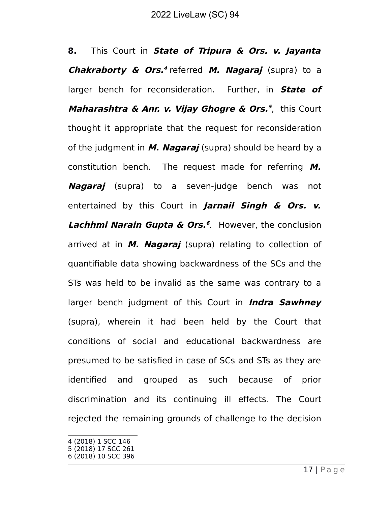**8.** This Court in **State of Tripura & Ors. v. Jayanta Chakraborty & Ors. [4](#page-16-0)** referred **M. Nagaraj** (supra) to a larger bench for reconsideration. Further, in **State of Maharashtra & Anr. v. Vijay Ghogre & Ors. [5](#page-16-1)** , this Court thought it appropriate that the request for reconsideration of the judgment in **M. Nagaraj** (supra) should be heard by a constitution bench. The request made for referring **M. Nagaraj** (supra) to a seven-judge bench was not entertained by this Court in **Jarnail Singh & Ors. v. Lachhmi Narain Gupta & Ors. [6](#page-16-2)** .However, the conclusion arrived at in **M. Nagaraj** (supra) relating to collection of quantifiable data showing backwardness of the SCs and the STs was held to be invalid as the same was contrary to a larger bench judgment of this Court in **Indra Sawhney** (supra), wherein it had been held by the Court that conditions of social and educational backwardness are presumed to be satisfied in case of SCs and STs as they are identified and grouped as such because of prior discrimination and its continuing ill effects. The Court rejected the remaining grounds of challenge to the decision

<span id="page-16-0"></span><sup>4 (2018) 1</sup> SCC 146

<span id="page-16-1"></span><sup>5</sup> (2018) 17 SCC 261

<span id="page-16-2"></span><sup>6</sup> (2018) 10 SCC 396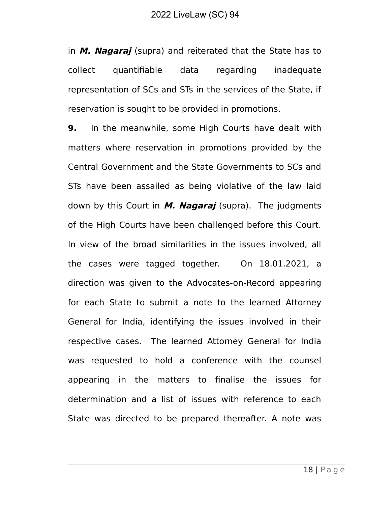in **M. Nagaraj** (supra) and reiterated that the State has to collect quantifiable data regarding inadequate representation of SCs and STs in the services of the State, if reservation is sought to be provided in promotions.

**9.** In the meanwhile, some High Courts have dealt with matters where reservation in promotions provided by the Central Government and the State Governments to SCs and STs have been assailed as being violative of the law laid down by this Court in **M. Nagaraj** (supra). The judgments of the High Courts have been challenged before this Court. In view of the broad similarities in the issues involved, all the cases were tagged together. On 18.01.2021, a direction was given to the Advocates-on-Record appearing for each State to submit a note to the learned Attorney General for India, identifying the issues involved in their respective cases. The learned Attorney General for India was requested to hold a conference with the counsel appearing in the matters to finalise the issues for determination and a list of issues with reference to each State was directed to be prepared thereafter. A note was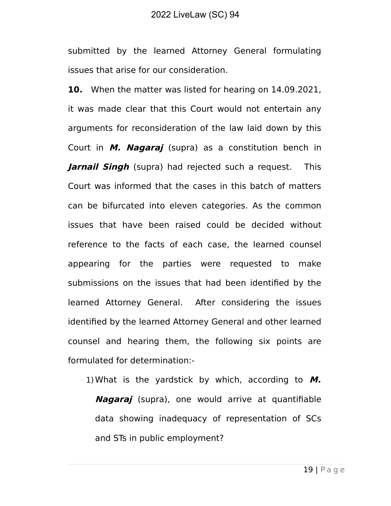submitted by the learned Attorney General formulating issues that arise for our consideration.

**10.** When the matter was listed for hearing on 14.09.2021, it was made clear that this Court would not entertain any arguments for reconsideration of the law laid down by this Court in **M. Nagaraj** (supra) as a constitution bench in **Jarnail Singh** (supra) had rejected such a request. This Court was informed that the cases in this batch of matters can be bifurcated into eleven categories. As the common issues that have been raised could be decided without reference to the facts of each case, the learned counsel appearing for the parties were requested to make submissions on the issues that had been identified by the learned Attorney General. After considering the issues identified by the learned Attorney General and other learned counsel and hearing them, the following six points are formulated for determination:-

1)What is the yardstick by which, according to **M. Nagaraj** (supra), one would arrive at quantifiable data showing inadequacy of representation of SCs and STs in public employment?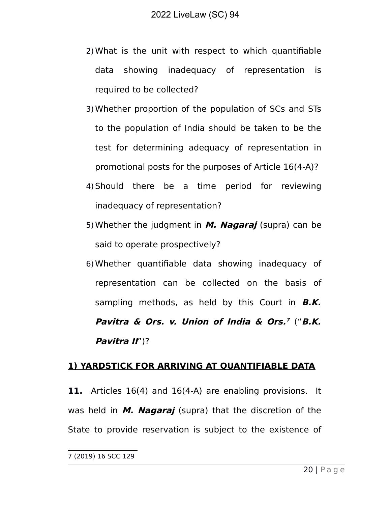- 2)What is the unit with respect to which quantifiable data showing inadequacy of representation is required to be collected?
- 3)Whether proportion of the population of SCs and STs to the population of India should be taken to be the test for determining adequacy of representation in promotional posts for the purposes of Article 16(4-A)?
- 4)Should there be a time period for reviewing inadequacy of representation?
- 5)Whether the judgment in **M. Nagaraj** (supra) can be said to operate prospectively?
- 6)Whether quantifiable data showing inadequacy of representation can be collected on the basis of sampling methods, as held by this Court in **B.K. Pavitra & Ors. v. Union of India & Ors. [7](#page-19-0)** ("**B.K. Pavitra II**")?

#### **1) YARDSTICK FOR ARRIVING AT QUANTIFIABLE DATA**

**11.** Articles 16(4) and 16(4-A) are enabling provisions. It was held in **M. Nagaraj** (supra) that the discretion of the State to provide reservation is subject to the existence of

<span id="page-19-0"></span><sup>7</sup> (2019) 16 SCC 129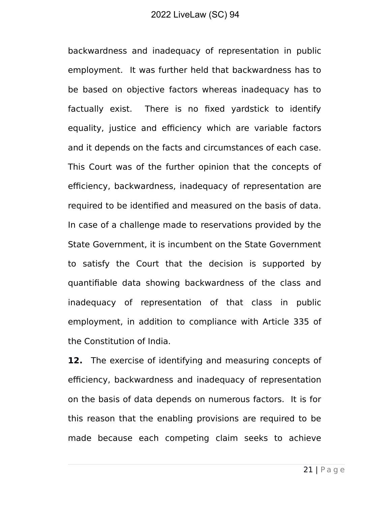backwardness and inadequacy of representation in public employment. It was further held that backwardness has to be based on objective factors whereas inadequacy has to factually exist. There is no fixed yardstick to identify equality, justice and efficiency which are variable factors and it depends on the facts and circumstances of each case. This Court was of the further opinion that the concepts of efficiency, backwardness, inadequacy of representation are required to be identified and measured on the basis of data. In case of a challenge made to reservations provided by the State Government, it is incumbent on the State Government to satisfy the Court that the decision is supported by quantifiable data showing backwardness of the class and inadequacy of representation of that class in public employment, in addition to compliance with Article 335 of the Constitution of India.

**12.** The exercise of identifying and measuring concepts of efficiency, backwardness and inadequacy of representation on the basis of data depends on numerous factors. It is for this reason that the enabling provisions are required to be made because each competing claim seeks to achieve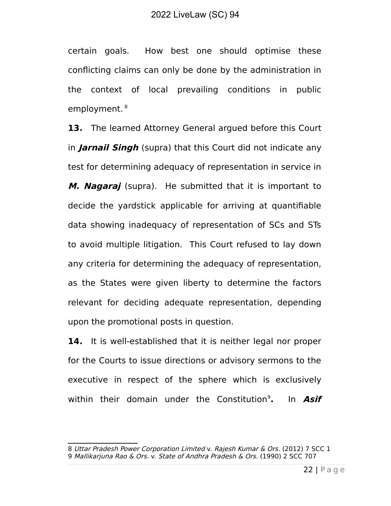certain goals. How best one should optimise these conflicting claims can only be done by the administration in the context of local prevailing conditions in public employment.<sup>[8](#page-21-0)</sup>

**13.** The learned Attorney General argued before this Court in **Jarnail Singh** (supra) that this Court did not indicate any test for determining adequacy of representation in service in **M. Nagaraj** (supra). He submitted that it is important to decide the yardstick applicable for arriving at quantifiable data showing inadequacy of representation of SCs and STs to avoid multiple litigation. This Court refused to lay down any criteria for determining the adequacy of representation, as the States were given liberty to determine the factors relevant for deciding adequate representation, depending upon the promotional posts in question.

**14.** It is well-established that it is neither legal nor proper for the Courts to issue directions or advisory sermons to the executive in respect of the sphere which is exclusively within their domain under the Constitution<sup>[9](#page-21-0)</sup>. **.** In **Asif**

<span id="page-21-0"></span><sup>8</sup> Uttar Pradesh Power Corporation Limited v. Rajesh Kumar & Ors. (2012) 7 SCC 1 9 Mallikarjuna Rao & Ors. v. State of Andhra Pradesh & Ors. (1990) 2 SCC 707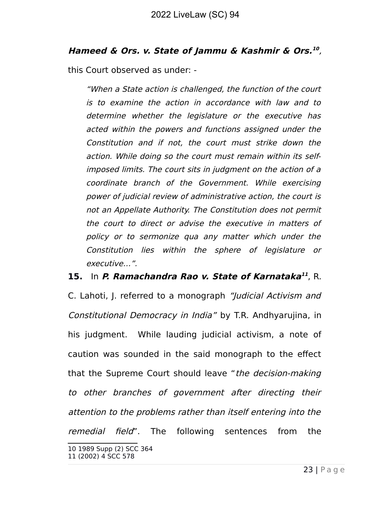#### **Hameed & Ors. v. State of Jammu & Kashmir & Ors. [10](#page-22-0)** ,

this Court observed as under: -

"When a State action is challenged, the function of the court is to examine the action in accordance with law and to determine whether the legislature or the executive has acted within the powers and functions assigned under the Constitution and if not, the court must strike down the action. While doing so the court must remain within its selfimposed limits. The court sits in judgment on the action of a coordinate branch of the Government. While exercising power of judicial review of administrative action, the court is not an Appellate Authority. The Constitution does not permit the court to direct or advise the executive in matters of policy or to sermonize qua any matter which under the Constitution lies within the sphere of legislature or executive…".

**15. In P. Ramachandra Rao v. State of Karnataka<sup>[11](#page-22-1)</sup>, R.** 

C. Lahoti, J. referred to a monograph "Judicial Activism and Constitutional Democracy in India" by T.R. Andhyarujina, in his judgment. While lauding judicial activism, a note of caution was sounded in the said monograph to the effect that the Supreme Court should leave "the decision-making to other branches of government after directing their attention to the problems rather than itself entering into the remedial field". The following sentences from the

<span id="page-22-1"></span><span id="page-22-0"></span><sup>10</sup> 1989 Supp (2) SCC 364 11 (2002) 4 SCC 578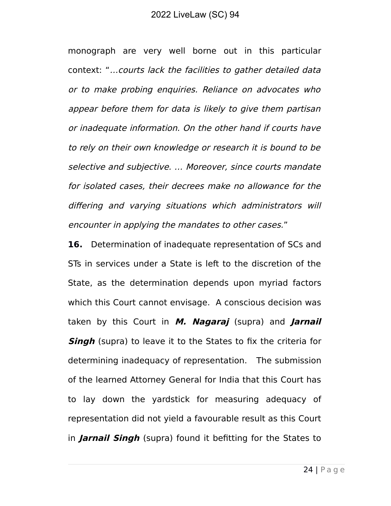monograph are very well borne out in this particular context: "…courts lack the facilities to gather detailed data or to make probing enquiries. Reliance on advocates who appear before them for data is likely to give them partisan or inadequate information. On the other hand if courts have to rely on their own knowledge or research it is bound to be selective and subjective. … Moreover, since courts mandate for isolated cases, their decrees make no allowance for the differing and varying situations which administrators will encounter in applying the mandates to other cases."

**16.** Determination of inadequate representation of SCs and STs in services under a State is left to the discretion of the State, as the determination depends upon myriad factors which this Court cannot envisage. A conscious decision was taken by this Court in **M. Nagaraj** (supra) and **Jarnail Singh** (supra) to leave it to the States to fix the criteria for determining inadequacy of representation. The submission of the learned Attorney General for India that this Court has to lay down the yardstick for measuring adequacy of representation did not yield a favourable result as this Court in **Jarnail Singh** (supra) found it befitting for the States to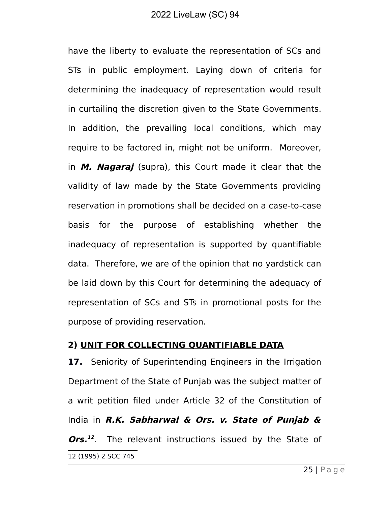have the liberty to evaluate the representation of SCs and STs in public employment. Laying down of criteria for determining the inadequacy of representation would result in curtailing the discretion given to the State Governments. In addition, the prevailing local conditions, which may require to be factored in, might not be uniform. Moreover, in **M. Nagaraj** (supra), this Court made it clear that the validity of law made by the State Governments providing reservation in promotions shall be decided on a case-to-case basis for the purpose of establishing whether the inadequacy of representation is supported by quantifiable data. Therefore, we are of the opinion that no yardstick can be laid down by this Court for determining the adequacy of representation of SCs and STs in promotional posts for the purpose of providing reservation.

#### **2) UNIT FOR COLLECTING QUANTIFIABLE DATA**

<span id="page-24-0"></span>**17.** Seniority of Superintending Engineers in the Irrigation Department of the State of Punjab was the subject matter of a writ petition filed under Article 32 of the Constitution of India in **R.K. Sabharwal & Ors. v. State of Punjab & Ors. [12](#page-24-0)** The relevant instructions issued by the State of 12 (1995) 2 SCC 745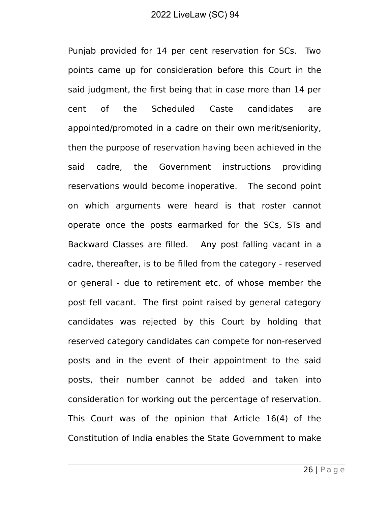Punjab provided for 14 per cent reservation for SCs. Two points came up for consideration before this Court in the said judgment, the first being that in case more than 14 per cent of the Scheduled Caste candidates are appointed/promoted in a cadre on their own merit/seniority, then the purpose of reservation having been achieved in the said cadre, the Government instructions providing reservations would become inoperative. The second point on which arguments were heard is that roster cannot operate once the posts earmarked for the SCs, STs and Backward Classes are filled. Any post falling vacant in a cadre, thereafter, is to be filled from the category - reserved or general - due to retirement etc. of whose member the post fell vacant. The first point raised by general category candidates was rejected by this Court by holding that reserved category candidates can compete for non-reserved posts and in the event of their appointment to the said posts, their number cannot be added and taken into consideration for working out the percentage of reservation. This Court was of the opinion that Article 16(4) of the Constitution of India enables the State Government to make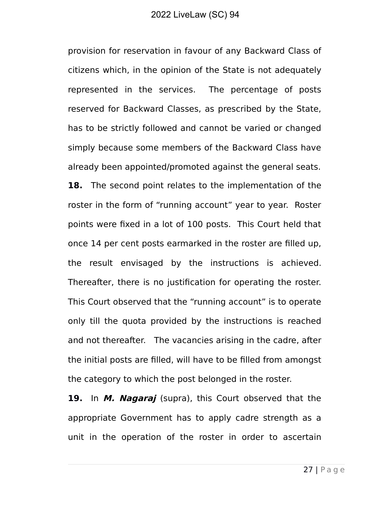provision for reservation in favour of any Backward Class of citizens which, in the opinion of the State is not adequately represented in the services. The percentage of posts reserved for Backward Classes, as prescribed by the State, has to be strictly followed and cannot be varied or changed simply because some members of the Backward Class have already been appointed/promoted against the general seats. **18.** The second point relates to the implementation of the roster in the form of "running account" year to year. Roster points were fixed in a lot of 100 posts. This Court held that once 14 per cent posts earmarked in the roster are filled up, the result envisaged by the instructions is achieved. Thereafter, there is no justification for operating the roster. This Court observed that the "running account" is to operate only till the quota provided by the instructions is reached and not thereafter. The vacancies arising in the cadre, after the initial posts are filled, will have to be filled from amongst the category to which the post belonged in the roster.

**19.** In **M. Nagaraj** (supra), this Court observed that the appropriate Government has to apply cadre strength as a unit in the operation of the roster in order to ascertain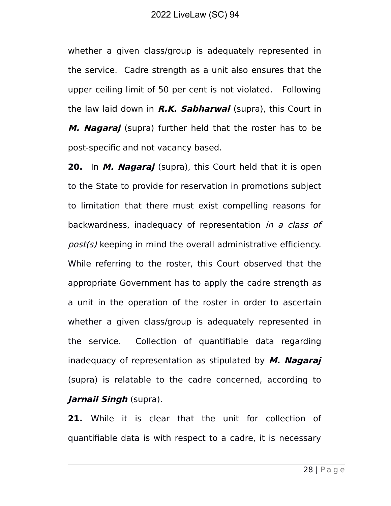whether a given class/group is adequately represented in the service. Cadre strength as a unit also ensures that the upper ceiling limit of 50 per cent is not violated. Following the law laid down in **R.K. Sabharwal** (supra), this Court in **M. Nagaraj** (supra) further held that the roster has to be post-specific and not vacancy based.

**20.** In **M. Nagaraj** (supra), this Court held that it is open to the State to provide for reservation in promotions subject to limitation that there must exist compelling reasons for backwardness, inadequacy of representation in a class of post(s) keeping in mind the overall administrative efficiency. While referring to the roster, this Court observed that the appropriate Government has to apply the cadre strength as a unit in the operation of the roster in order to ascertain whether a given class/group is adequately represented in the service. Collection of quantifiable data regarding inadequacy of representation as stipulated by **M. Nagaraj** (supra) is relatable to the cadre concerned, according to **Jarnail Singh** (supra).

**21.** While it is clear that the unit for collection of quantifiable data is with respect to a cadre, it is necessary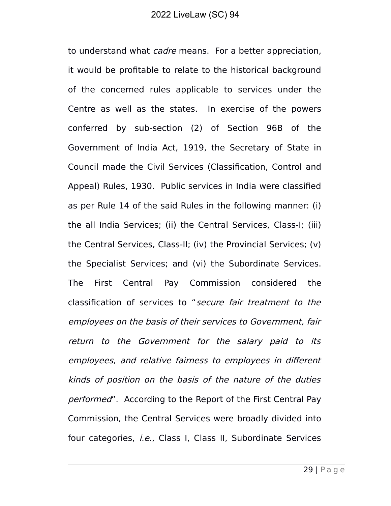to understand what *cadre* means. For a better appreciation, it would be profitable to relate to the historical background of the concerned rules applicable to services under the Centre as well as the states. In exercise of the powers conferred by sub-section (2) of Section 96B of the Government of India Act, 1919, the Secretary of State in Council made the Civil Services (Classification, Control and Appeal) Rules, 1930. Public services in India were classified as per Rule 14 of the said Rules in the following manner: (i) the all India Services; (ii) the Central Services, Class-I; (iii) the Central Services, Class-II; (iv) the Provincial Services; (v) the Specialist Services; and (vi) the Subordinate Services. The First Central Pay Commission considered the classification of services to "secure fair treatment to the employees on the basis of their services to Government, fair return to the Government for the salary paid to its employees, and relative fairness to employees in different kinds of position on the basis of the nature of the duties performed". According to the Report of the First Central Pay Commission, the Central Services were broadly divided into four categories, i.e., Class I, Class II, Subordinate Services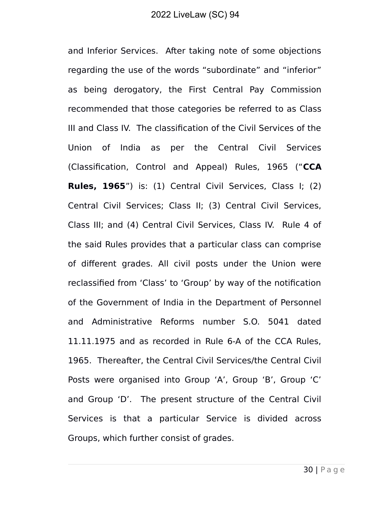and Inferior Services. After taking note of some objections regarding the use of the words "subordinate" and "inferior" as being derogatory, the First Central Pay Commission recommended that those categories be referred to as Class III and Class IV. The classification of the Civil Services of the Union of India as per the Central Civil Services (Classification, Control and Appeal) Rules, 1965 ("**CCA Rules, 1965**") is: (1) Central Civil Services, Class I; (2) Central Civil Services; Class II; (3) Central Civil Services, Class III; and (4) Central Civil Services, Class IV. Rule 4 of the said Rules provides that a particular class can comprise of different grades. All civil posts under the Union were reclassified from 'Class' to 'Group' by way of the notification of the Government of India in the Department of Personnel and Administrative Reforms number S.O. 5041 dated 11.11.1975 and as recorded in Rule 6-A of the CCA Rules, 1965. Thereafter, the Central Civil Services/the Central Civil Posts were organised into Group 'A', Group 'B', Group 'C' and Group 'D'. The present structure of the Central Civil Services is that a particular Service is divided across Groups, which further consist of grades.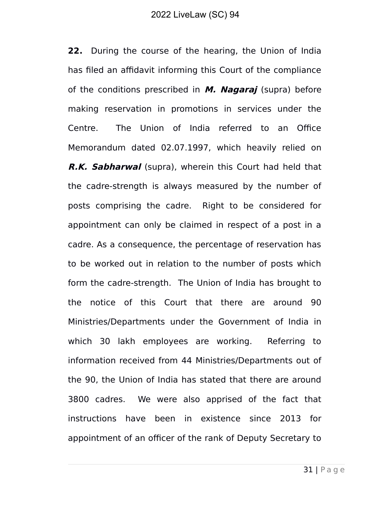**22.** During the course of the hearing, the Union of India has filed an affidavit informing this Court of the compliance of the conditions prescribed in **M. Nagaraj** (supra) before making reservation in promotions in services under the Centre. The Union of India referred to an Office Memorandum dated 02.07.1997, which heavily relied on **R.K. Sabharwal** (supra), wherein this Court had held that the cadre-strength is always measured by the number of posts comprising the cadre. Right to be considered for appointment can only be claimed in respect of a post in a cadre. As a consequence, the percentage of reservation has to be worked out in relation to the number of posts which form the cadre-strength. The Union of India has brought to the notice of this Court that there are around 90 Ministries/Departments under the Government of India in which 30 lakh employees are working. Referring to information received from 44 Ministries/Departments out of the 90, the Union of India has stated that there are around 3800 cadres. We were also apprised of the fact that instructions have been in existence since 2013 for appointment of an officer of the rank of Deputy Secretary to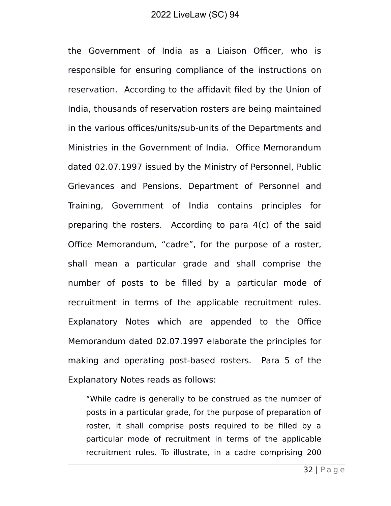the Government of India as a Liaison Officer, who is responsible for ensuring compliance of the instructions on reservation. According to the affidavit filed by the Union of India, thousands of reservation rosters are being maintained in the various offices/units/sub-units of the Departments and Ministries in the Government of India. Office Memorandum dated 02.07.1997 issued by the Ministry of Personnel, Public Grievances and Pensions, Department of Personnel and Training, Government of India contains principles for preparing the rosters. According to para 4(c) of the said Office Memorandum, "cadre", for the purpose of a roster, shall mean a particular grade and shall comprise the number of posts to be filled by a particular mode of recruitment in terms of the applicable recruitment rules. Explanatory Notes which are appended to the Office Memorandum dated 02.07.1997 elaborate the principles for making and operating post-based rosters. Para 5 of the Explanatory Notes reads as follows:

"While cadre is generally to be construed as the number of posts in a particular grade, for the purpose of preparation of roster, it shall comprise posts required to be filled by a particular mode of recruitment in terms of the applicable recruitment rules. To illustrate, in a cadre comprising 200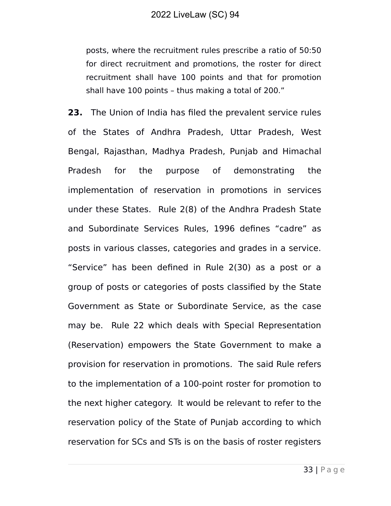posts, where the recruitment rules prescribe a ratio of 50:50 for direct recruitment and promotions, the roster for direct recruitment shall have 100 points and that for promotion shall have 100 points – thus making a total of 200."

**23.** The Union of India has filed the prevalent service rules of the States of Andhra Pradesh, Uttar Pradesh, West Bengal, Rajasthan, Madhya Pradesh, Punjab and Himachal Pradesh for the purpose of demonstrating the implementation of reservation in promotions in services under these States. Rule 2(8) of the Andhra Pradesh State and Subordinate Services Rules, 1996 defines "cadre" as posts in various classes, categories and grades in a service. "Service" has been defined in Rule 2(30) as a post or a group of posts or categories of posts classified by the State Government as State or Subordinate Service, as the case may be. Rule 22 which deals with Special Representation (Reservation) empowers the State Government to make a provision for reservation in promotions. The said Rule refers to the implementation of a 100-point roster for promotion to the next higher category. It would be relevant to refer to the reservation policy of the State of Punjab according to which reservation for SCs and STs is on the basis of roster registers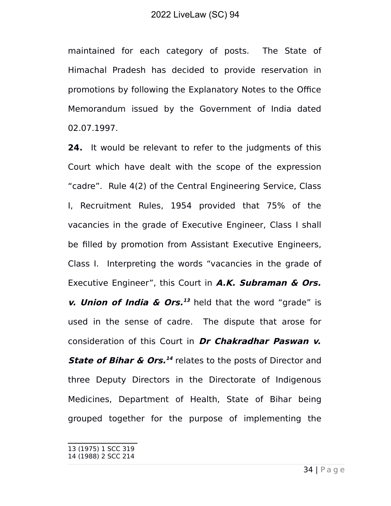maintained for each category of posts. The State of Himachal Pradesh has decided to provide reservation in promotions by following the Explanatory Notes to the Office Memorandum issued by the Government of India dated 02.07.1997.

**24.** It would be relevant to refer to the judgments of this Court which have dealt with the scope of the expression "cadre". Rule 4(2) of the Central Engineering Service, Class I, Recruitment Rules, 1954 provided that 75% of the vacancies in the grade of Executive Engineer, Class I shall be filled by promotion from Assistant Executive Engineers, Class I. Interpreting the words "vacancies in the grade of Executive Engineer", this Court in **A.K. Subraman & Ors.** *v.* **Union of India & Ors.**<sup>[13](#page-33-0)</sup> held that the word "grade" is used in the sense of cadre. The dispute that arose for consideration of this Court in **Dr Chakradhar Paswan v. State of Bihar & Ors.**<sup>[14](#page-33-1)</sup> relates to the posts of Director and three Deputy Directors in the Directorate of Indigenous Medicines, Department of Health, State of Bihar being grouped together for the purpose of implementing the

<span id="page-33-1"></span><span id="page-33-0"></span><sup>13 (1975) 1</sup> SCC 319 14 (1988) 2 SCC 214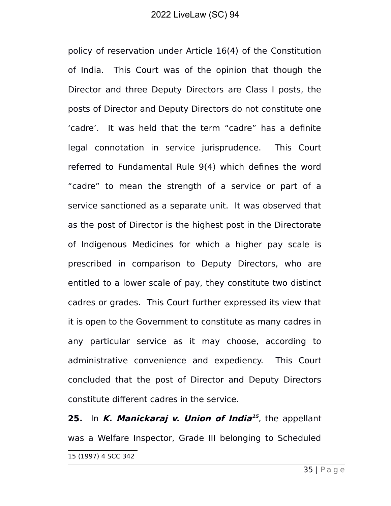policy of reservation under Article 16(4) of the Constitution of India. This Court was of the opinion that though the Director and three Deputy Directors are Class I posts, the posts of Director and Deputy Directors do not constitute one 'cadre'. It was held that the term "cadre" has a definite legal connotation in service jurisprudence. This Court referred to Fundamental Rule 9(4) which defines the word "cadre" to mean the strength of a service or part of a service sanctioned as a separate unit. It was observed that as the post of Director is the highest post in the Directorate of Indigenous Medicines for which a higher pay scale is prescribed in comparison to Deputy Directors, who are entitled to a lower scale of pay, they constitute two distinct cadres or grades. This Court further expressed its view that it is open to the Government to constitute as many cadres in any particular service as it may choose, according to administrative convenience and expediency. This Court concluded that the post of Director and Deputy Directors constitute different cadres in the service.

<span id="page-34-0"></span>**25.** In **K. Manickaraj v. Union of India [15](#page-34-0)** , the appellant was a Welfare Inspector, Grade III belonging to Scheduled 15 (1997) 4 SCC 342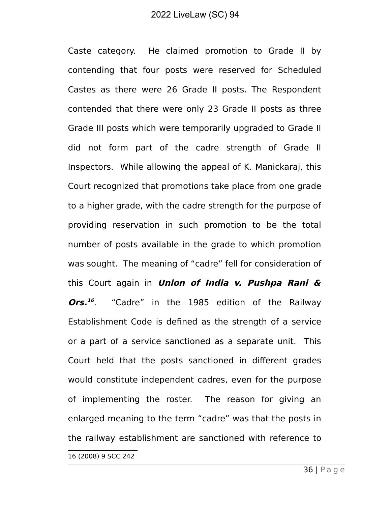Caste category. He claimed promotion to Grade II by contending that four posts were reserved for Scheduled Castes as there were 26 Grade II posts. The Respondent contended that there were only 23 Grade II posts as three Grade III posts which were temporarily upgraded to Grade II did not form part of the cadre strength of Grade II Inspectors. While allowing the appeal of K. Manickaraj, this Court recognized that promotions take place from one grade to a higher grade, with the cadre strength for the purpose of providing reservation in such promotion to be the total number of posts available in the grade to which promotion was sought. The meaning of "cadre" fell for consideration of this Court again in **Union of India v. Pushpa Rani & Ors. [16](#page-35-0)** . "Cadre" in the 1985 edition of the Railway Establishment Code is defined as the strength of a service or a part of a service sanctioned as a separate unit. This Court held that the posts sanctioned in different grades would constitute independent cadres, even for the purpose of implementing the roster. The reason for giving an enlarged meaning to the term "cadre" was that the posts in the railway establishment are sanctioned with reference to

<span id="page-35-0"></span><sup>16</sup> (2008) 9 SCC 242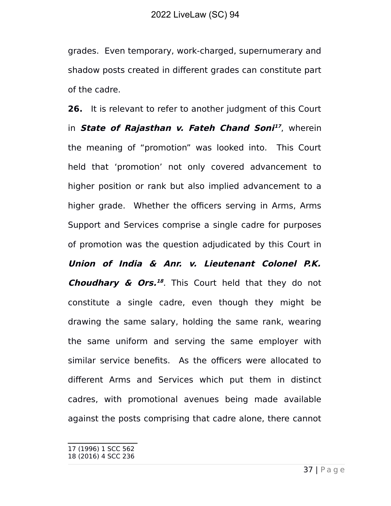grades. Even temporary, work-charged, supernumerary and shadow posts created in different grades can constitute part of the cadre.

**26.** It is relevant to refer to another judgment of this Court in **State of Rajasthan v. Fateh Chand Soni [17](#page-36-0)** , wherein the meaning of "promotion" was looked into. This Court held that 'promotion' not only covered advancement to higher position or rank but also implied advancement to a higher grade. Whether the officers serving in Arms, Arms Support and Services comprise a single cadre for purposes of promotion was the question adjudicated by this Court in **Union of India & Anr. v. Lieutenant Colonel P.K. Choudhary & Ors. [18](#page-36-1)** . This Court held that they do not constitute a single cadre, even though they might be drawing the same salary, holding the same rank, wearing the same uniform and serving the same employer with similar service benefits. As the officers were allocated to different Arms and Services which put them in distinct cadres, with promotional avenues being made available against the posts comprising that cadre alone, there cannot

<span id="page-36-1"></span><span id="page-36-0"></span><sup>17</sup> (1996) 1 SCC 562 18 (2016) 4 SCC 236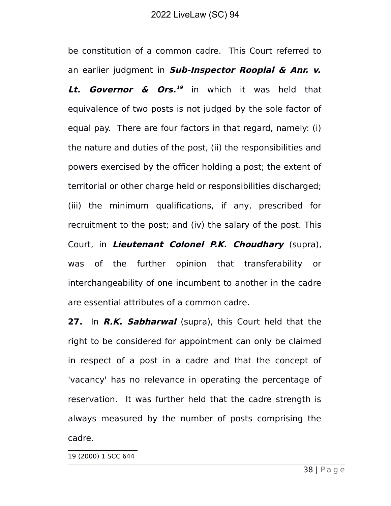be constitution of a common cadre. This Court referred to an earlier judgment in **Sub-Inspector Rooplal & Anr. v. Lt. Governor & Ors. [19](#page-37-0)** in which it was held that equivalence of two posts is not judged by the sole factor of equal pay. There are four factors in that regard, namely: (i) the nature and duties of the post, (ii) the responsibilities and powers exercised by the officer holding a post; the extent of territorial or other charge held or responsibilities discharged; (iii) the minimum qualifications, if any, prescribed for recruitment to the post; and (iv) the salary of the post. This Court, in **Lieutenant Colonel P.K. Choudhary** (supra), was of the further opinion that transferability or interchangeability of one incumbent to another in the cadre are essential attributes of a common cadre.

<span id="page-37-0"></span>**27.** In **R.K. Sabharwal** (supra), this Court held that the right to be considered for appointment can only be claimed in respect of a post in a cadre and that the concept of 'vacancy' has no relevance in operating the percentage of reservation. It was further held that the cadre strength is always measured by the number of posts comprising the cadre.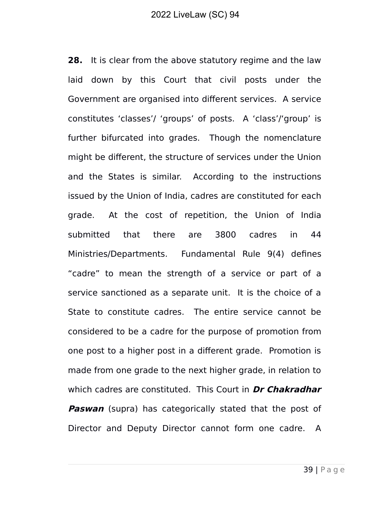**28.** It is clear from the above statutory regime and the law laid down by this Court that civil posts under the Government are organised into different services. A service constitutes 'classes'/ 'groups' of posts. A 'class'/'group' is further bifurcated into grades. Though the nomenclature might be different, the structure of services under the Union and the States is similar. According to the instructions issued by the Union of India, cadres are constituted for each grade. At the cost of repetition, the Union of India submitted that there are 3800 cadres in 44 Ministries/Departments. Fundamental Rule 9(4) defines "cadre" to mean the strength of a service or part of a service sanctioned as a separate unit. It is the choice of a State to constitute cadres. The entire service cannot be considered to be a cadre for the purpose of promotion from one post to a higher post in a different grade. Promotion is made from one grade to the next higher grade, in relation to which cadres are constituted. This Court in **Dr Chakradhar Paswan** (supra) has categorically stated that the post of Director and Deputy Director cannot form one cadre. A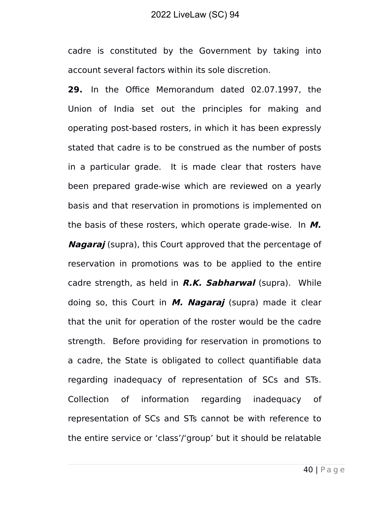cadre is constituted by the Government by taking into account several factors within its sole discretion.

**29.** In the Office Memorandum dated 02.07.1997, the Union of India set out the principles for making and operating post-based rosters, in which it has been expressly stated that cadre is to be construed as the number of posts in a particular grade. It is made clear that rosters have been prepared grade-wise which are reviewed on a yearly basis and that reservation in promotions is implemented on the basis of these rosters, which operate grade-wise. In **M. Nagaraj** (supra), this Court approved that the percentage of reservation in promotions was to be applied to the entire cadre strength, as held in **R.K. Sabharwal** (supra). While doing so, this Court in **M. Nagaraj** (supra) made it clear that the unit for operation of the roster would be the cadre strength. Before providing for reservation in promotions to a cadre, the State is obligated to collect quantifiable data regarding inadequacy of representation of SCs and STs. Collection of information regarding inadequacy of representation of SCs and STs cannot be with reference to the entire service or 'class'/'group' but it should be relatable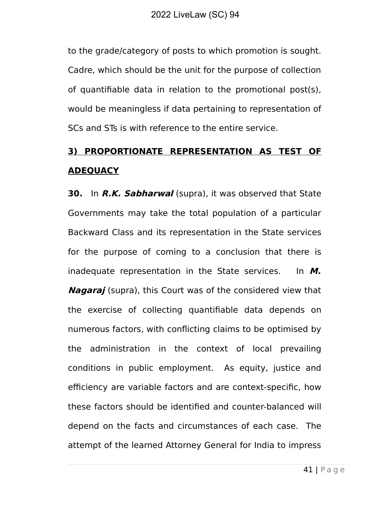to the grade/category of posts to which promotion is sought. Cadre, which should be the unit for the purpose of collection of quantifiable data in relation to the promotional post(s), would be meaningless if data pertaining to representation of SCs and STs is with reference to the entire service.

# **3) PROPORTIONATE REPRESENTATION AS TEST OF ADEQUACY**

**30.** In **R.K. Sabharwal** (supra), it was observed that State Governments may take the total population of a particular Backward Class and its representation in the State services for the purpose of coming to a conclusion that there is inadequate representation in the State services. In **M. Nagaraj** (supra), this Court was of the considered view that the exercise of collecting quantifiable data depends on numerous factors, with conflicting claims to be optimised by the administration in the context of local prevailing conditions in public employment. As equity, justice and efficiency are variable factors and are context-specific, how these factors should be identified and counter-balanced will depend on the facts and circumstances of each case. The attempt of the learned Attorney General for India to impress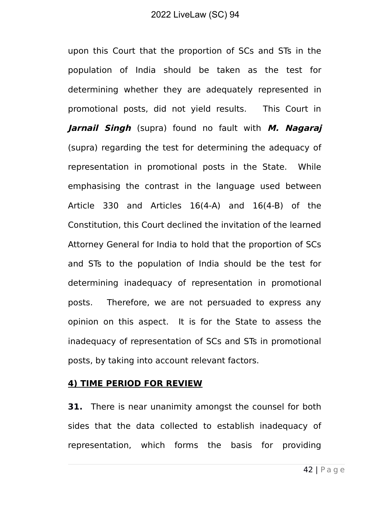upon this Court that the proportion of SCs and STs in the population of India should be taken as the test for determining whether they are adequately represented in promotional posts, did not yield results. This Court in **Jarnail Singh** (supra) found no fault with **M. Nagaraj** (supra) regarding the test for determining the adequacy of representation in promotional posts in the State. While emphasising the contrast in the language used between Article 330 and Articles 16(4-A) and 16(4-B) of the Constitution, this Court declined the invitation of the learned Attorney General for India to hold that the proportion of SCs and STs to the population of India should be the test for determining inadequacy of representation in promotional posts. Therefore, we are not persuaded to express any opinion on this aspect. It is for the State to assess the inadequacy of representation of SCs and STs in promotional posts, by taking into account relevant factors.

#### **4) TIME PERIOD FOR REVIEW**

**31.** There is near unanimity amongst the counsel for both sides that the data collected to establish inadequacy of representation, which forms the basis for providing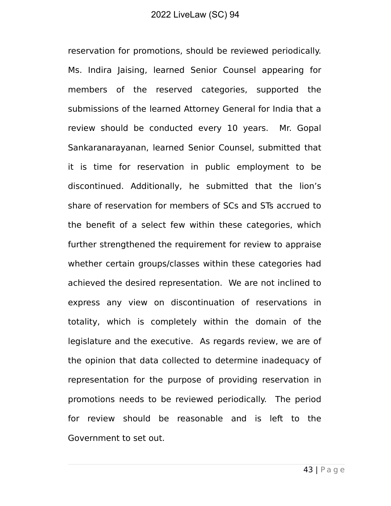reservation for promotions, should be reviewed periodically. Ms. Indira Jaising, learned Senior Counsel appearing for members of the reserved categories, supported the submissions of the learned Attorney General for India that a review should be conducted every 10 years. Mr. Gopal Sankaranarayanan, learned Senior Counsel, submitted that it is time for reservation in public employment to be discontinued. Additionally, he submitted that the lion's share of reservation for members of SCs and STs accrued to the benefit of a select few within these categories, which further strengthened the requirement for review to appraise whether certain groups/classes within these categories had achieved the desired representation. We are not inclined to express any view on discontinuation of reservations in totality, which is completely within the domain of the legislature and the executive. As regards review, we are of the opinion that data collected to determine inadequacy of representation for the purpose of providing reservation in promotions needs to be reviewed periodically. The period for review should be reasonable and is left to the Government to set out.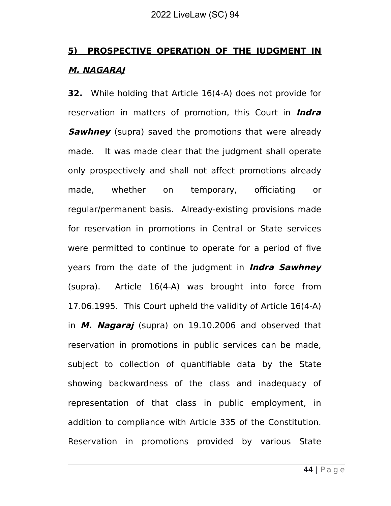# **5) PROSPECTIVE OPERATION OF THE JUDGMENT IN M. NAGARAJ**

**32.** While holding that Article 16(4-A) does not provide for reservation in matters of promotion, this Court in **Indra Sawhney** (supra) saved the promotions that were already made. It was made clear that the judgment shall operate only prospectively and shall not affect promotions already made, whether on temporary, officiating or regular/permanent basis. Already-existing provisions made for reservation in promotions in Central or State services were permitted to continue to operate for a period of five years from the date of the judgment in **Indra Sawhney** (supra). Article 16(4-A) was brought into force from 17.06.1995. This Court upheld the validity of Article 16(4-A) in **M. Nagaraj** (supra) on 19.10.2006 and observed that reservation in promotions in public services can be made, subject to collection of quantifiable data by the State showing backwardness of the class and inadequacy of representation of that class in public employment, in addition to compliance with Article 335 of the Constitution. Reservation in promotions provided by various State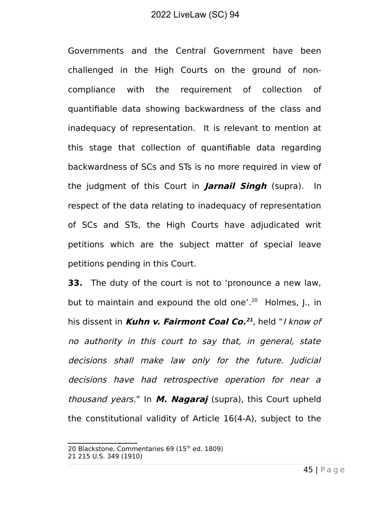Governments and the Central Government have been challenged in the High Courts on the ground of noncompliance with the requirement of collection of quantifiable data showing backwardness of the class and inadequacy of representation. It is relevant to mention at this stage that collection of quantifiable data regarding backwardness of SCs and STs is no more required in view of the judgment of this Court in **Jarnail Singh** (supra). In respect of the data relating to inadequacy of representation of SCs and STs, the High Courts have adjudicated writ petitions which are the subject matter of special leave petitions pending in this Court.

**33.** The duty of the court is not to 'pronounce a new law, but to maintain and expound the old one'.<sup>[20](#page-44-0)</sup> Holmes, J., in his dissent in **Kuhn v. Fairmont Coal Co. [21](#page-44-1)** , held "I know of no authority in this court to say that, in general, state decisions shall make law only for the future. Judicial decisions have had retrospective operation for near <sup>a</sup> thousand years." In **M. Nagaraj** (supra), this Court upheld the constitutional validity of Article 16(4-A), subject to the

<span id="page-44-1"></span><span id="page-44-0"></span><sup>20</sup> Blackstone, Commentaries 69 (15<sup>th</sup> ed. 1809) 21 215 U.S. 349 (1910)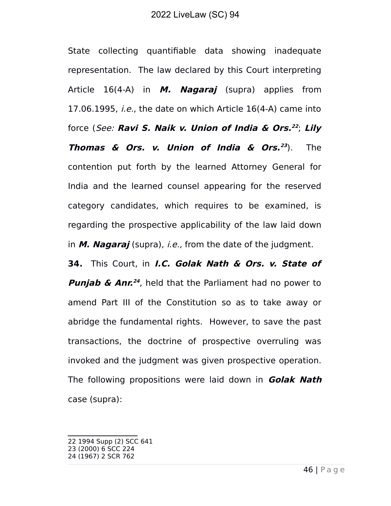State collecting quantifiable data showing inadequate representation. The law declared by this Court interpreting Article 16(4-A) in **M. Nagaraj** (supra) applies from 17.06.1995, *i.e.*, the date on which Article  $16(4-A)$  came into force (See: **Ravi S. Naik v. Union of India & Ors. [22](#page-45-0)** ; **Lily Thomas & Ors. v. Union of India & Ors. [23](#page-45-1)** ). The contention put forth by the learned Attorney General for India and the learned counsel appearing for the reserved category candidates, which requires to be examined, is regarding the prospective applicability of the law laid down in **M. Nagaraj** (supra), i.e., from the date of the judgment.

**34.** This Court, in **I.C. Golak Nath & Ors. v. State of Punjab & Anr. [24](#page-45-2)** , held that the Parliament had no power to amend Part III of the Constitution so as to take away or abridge the fundamental rights. However, to save the past transactions, the doctrine of prospective overruling was invoked and the judgment was given prospective operation. The following propositions were laid down in **Golak Nath** case (supra):

<span id="page-45-0"></span><sup>22 1994</sup> Supp (2) SCC 641

<span id="page-45-1"></span><sup>23</sup> (2000) 6 SCC 224

<span id="page-45-2"></span><sup>24 (1967) 2</sup> SCR 762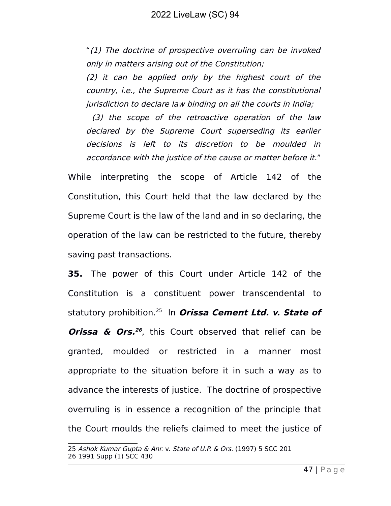"(1) The doctrine of prospective overruling can be invoked only in matters arising out of the Constitution;

(2) it can be applied only by the highest court of the country, i.e., the Supreme Court as it has the constitutional jurisdiction to declare law binding on all the courts in India;

 (3) the scope of the retroactive operation of the law declared by the Supreme Court superseding its earlier decisions is left to its discretion to be moulded in accordance with the justice of the cause or matter before it."

While interpreting the scope of Article 142 of the Constitution, this Court held that the law declared by the Supreme Court is the law of the land and in so declaring, the operation of the law can be restricted to the future, thereby saving past transactions.

**35.** The power of this Court under Article 142 of the Constitution is a constituent power transcendental to statutory prohibition.[25](#page-46-0) In **Orissa Cement Ltd. v. State of Orissa & Ors. [26](#page-46-1)** , this Court observed that relief can be granted, moulded or restricted in a manner most appropriate to the situation before it in such a way as to advance the interests of justice. The doctrine of prospective overruling is in essence a recognition of the principle that the Court moulds the reliefs claimed to meet the justice of

<span id="page-46-1"></span><span id="page-46-0"></span><sup>25</sup> Ashok Kumar Gupta & Anr. v. State of U.P. & Ors. (1997) 5 SCC 201 26 1991 Supp (1) SCC 430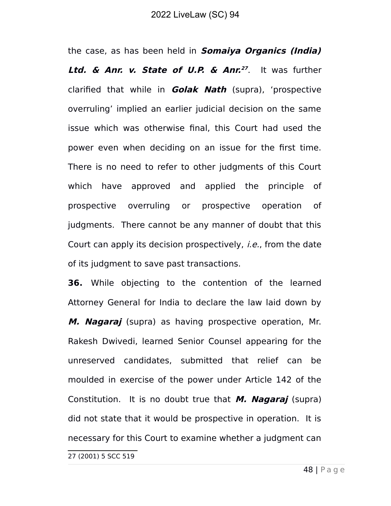the case, as has been held in **Somaiya Organics (India) Ltd. & Anr. v. State of U.P. & Anr. [27](#page-47-0)** . It was further clarified that while in **Golak Nath** (supra), 'prospective overruling' implied an earlier judicial decision on the same issue which was otherwise final, this Court had used the power even when deciding on an issue for the first time. There is no need to refer to other judgments of this Court which have approved and applied the principle of prospective overruling or prospective operation of judgments. There cannot be any manner of doubt that this Court can apply its decision prospectively, i.e., from the date of its judgment to save past transactions.

**36.** While objecting to the contention of the learned Attorney General for India to declare the law laid down by **M. Nagaraj** (supra) as having prospective operation, Mr. Rakesh Dwivedi, learned Senior Counsel appearing for the unreserved candidates, submitted that relief can be moulded in exercise of the power under Article 142 of the Constitution. It is no doubt true that **M. Nagaraj** (supra) did not state that it would be prospective in operation. It is necessary for this Court to examine whether a judgment can

<span id="page-47-0"></span>27 (2001) 5 SCC 519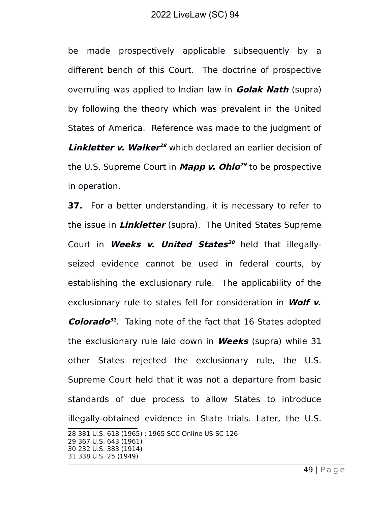be made prospectively applicable subsequently by a different bench of this Court. The doctrine of prospective overruling was applied to Indian law in **Golak Nath** (supra) by following the theory which was prevalent in the United States of America. Reference was made to the judgment of **Linkletter v. Walker<sup>[28](#page-48-0)</sup> which declared an earlier decision of** the U.S. Supreme Court in **Mapp v. Ohio [29](#page-48-1)** to be prospective in operation.

**37.** For a better understanding, it is necessary to refer to the issue in **Linkletter** (supra). The United States Supreme Court in **Weeks v. United States [30](#page-48-2)** held that illegallyseized evidence cannot be used in federal courts, by establishing the exclusionary rule. The applicability of the exclusionary rule to states fell for consideration in **Wolf v. Colorado [31](#page-48-3)** . Taking note of the fact that 16 States adopted the exclusionary rule laid down in **Weeks** (supra) while 31 other States rejected the exclusionary rule, the U.S. Supreme Court held that it was not a departure from basic standards of due process to allow States to introduce illegally-obtained evidence in State trials. Later, the U.S.

<span id="page-48-3"></span><span id="page-48-2"></span><span id="page-48-1"></span><span id="page-48-0"></span>28 381 U.S. 618 (1965) : 1965 SCC Online US SC 126 29 367 U.S. 643 (1961) 30 232 U.S. 383 (1914) 31 338 U.S. 25 (1949)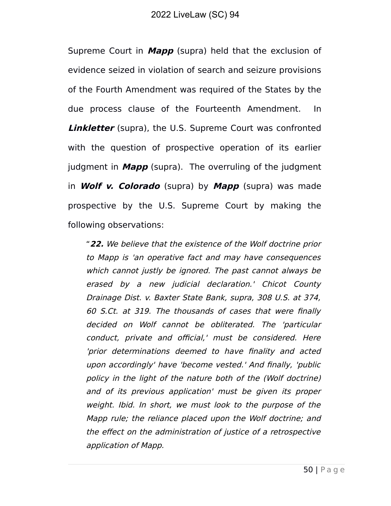Supreme Court in **Mapp** (supra) held that the exclusion of evidence seized in violation of search and seizure provisions of the Fourth Amendment was required of the States by the due process clause of the Fourteenth Amendment. In **Linkletter** (supra), the U.S. Supreme Court was confronted with the question of prospective operation of its earlier judgment in **Mapp** (supra). The overruling of the judgment in **Wolf v. Colorado** (supra) by **Mapp** (supra) was made prospective by the U.S. Supreme Court by making the following observations:

"**22.** We believe that the existence of the Wolf doctrine prior to Mapp is 'an operative fact and may have consequences which cannot justly be ignored. The past cannot always be erased by <sup>a</sup> new judicial declaration.' Chicot County Drainage Dist. v. Baxter State Bank, supra, 308 U.S. at 374, 60 S.Ct. at 319. The thousands of cases that were finally decided on Wolf cannot be obliterated. The 'particular conduct, private and official,' must be considered. Here 'prior determinations deemed to have finality and acted upon accordingly' have 'become vested.' And finally, 'public policy in the light of the nature both of the (Wolf doctrine) and of its previous application' must be given its proper weight. Ibid. In short, we must look to the purpose of the Mapp rule; the reliance placed upon the Wolf doctrine; and the effect on the administration of justice of a retrospective application of Mapp.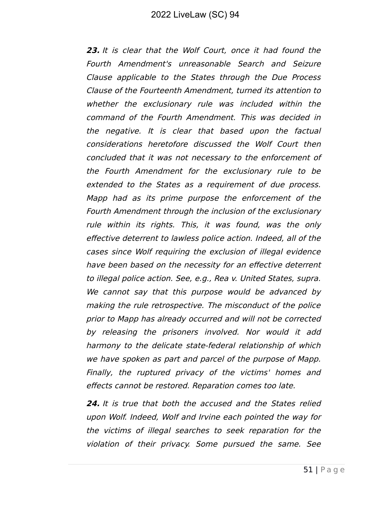**23.** It is clear that the Wolf Court, once it had found the Fourth Amendment's unreasonable Search and Seizure Clause applicable to the States through the Due Process Clause of the Fourteenth Amendment, turned its attention to whether the exclusionary rule was included within the command of the Fourth Amendment. This was decided in the negative. It is clear that based upon the factual considerations heretofore discussed the Wolf Court then concluded that it was not necessary to the enforcement of the Fourth Amendment for the exclusionary rule to be extended to the States as a requirement of due process. Mapp had as its prime purpose the enforcement of the Fourth Amendment through the inclusion of the exclusionary rule within its rights. This, it was found, was the only effective deterrent to lawless police action. Indeed, all of the cases since Wolf requiring the exclusion of illegal evidence have been based on the necessity for an effective deterrent to illegal police action. See, e.g., Rea v. United States, supra. We cannot say that this purpose would be advanced by making the rule retrospective. The misconduct of the police prior to Mapp has already occurred and will not be corrected by releasing the prisoners involved. Nor would it add harmony to the delicate state-federal relationship of which we have spoken as part and parcel of the purpose of Mapp. Finally, the ruptured privacy of the victims' homes and effects cannot be restored. Reparation comes too late.

**24.** It is true that both the accused and the States relied upon Wolf. Indeed, Wolf and Irvine each pointed the way for the victims of illegal searches to seek reparation for the violation of their privacy. Some pursued the same. See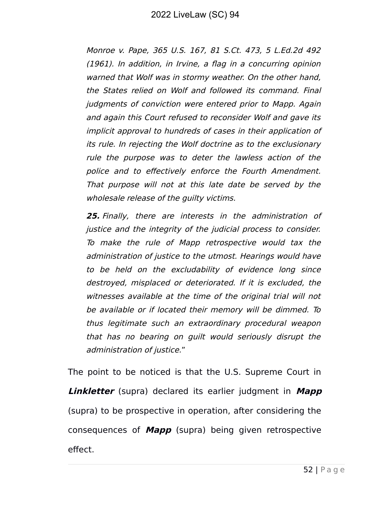Monroe v. Pape, 365 U.S. 167, 81 S.Ct. 473, 5 L.Ed.2d 492 (1961). In addition, in Irvine, a flag in a concurring opinion warned that Wolf was in stormy weather. On the other hand, the States relied on Wolf and followed its command. Final judgments of conviction were entered prior to Mapp. Again and again this Court refused to reconsider Wolf and gave its implicit approval to hundreds of cases in their application of its rule. In rejecting the Wolf doctrine as to the exclusionary rule the purpose was to deter the lawless action of the police and to effectively enforce the Fourth Amendment. That purpose will not at this late date be served by the wholesale release of the guilty victims.

**25.** Finally, there are interests in the administration of justice and the integrity of the judicial process to consider. To make the rule of Mapp retrospective would tax the administration of justice to the utmost. Hearings would have to be held on the excludability of evidence long since destroyed, misplaced or deteriorated. If it is excluded, the witnesses available at the time of the original trial will not be available or if located their memory will be dimmed. To thus legitimate such an extraordinary procedural weapon that has no bearing on guilt would seriously disrupt the administration of justice."

The point to be noticed is that the U.S. Supreme Court in **Linkletter** (supra) declared its earlier judgment in **Mapp** (supra) to be prospective in operation, after considering the consequences of **Mapp** (supra) being given retrospective effect.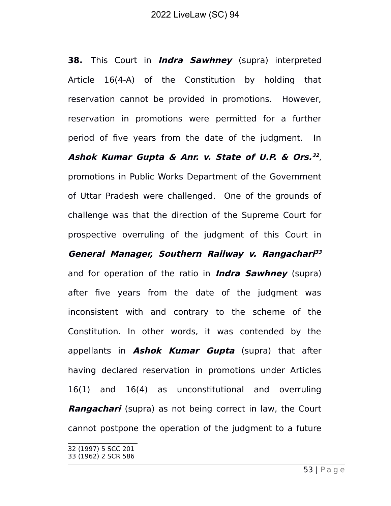**38.** This Court in **Indra Sawhney** (supra) interpreted Article 16(4-A) of the Constitution by holding that reservation cannot be provided in promotions. However, reservation in promotions were permitted for a further period of five years from the date of the judgment. In **Ashok Kumar Gupta & Anr. v. State of U.P. & Ors. [32](#page-52-0)** , promotions in Public Works Department of the Government of Uttar Pradesh were challenged. One of the grounds of challenge was that the direction of the Supreme Court for prospective overruling of the judgment of this Court in **General Manager, Southern Railway v. Rangachari [33](#page-52-1)** and for operation of the ratio in **Indra Sawhney** (supra) after five years from the date of the judgment was inconsistent with and contrary to the scheme of the Constitution. In other words, it was contended by the appellants in **Ashok Kumar Gupta** (supra) that after having declared reservation in promotions under Articles 16(1) and 16(4) as unconstitutional and overruling **Rangachari** (supra) as not being correct in law, the Court cannot postpone the operation of the judgment to a future

<span id="page-52-1"></span><span id="page-52-0"></span><sup>32 (1997) 5</sup> SCC 201 33 (1962) 2 SCR 586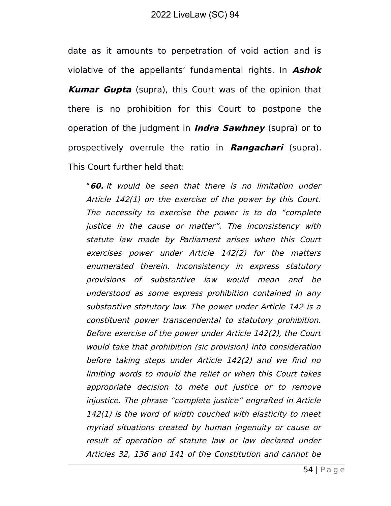date as it amounts to perpetration of void action and is violative of the appellants' fundamental rights. In **Ashok Kumar Gupta** (supra), this Court was of the opinion that there is no prohibition for this Court to postpone the operation of the judgment in **Indra Sawhney** (supra) or to prospectively overrule the ratio in **Rangachari** (supra). This Court further held that:

"**60.** It would be seen that there is no limitation under Article 142(1) on the exercise of the power by this Court. The necessity to exercise the power is to do "complete justice in the cause or matter". The inconsistency with statute law made by Parliament arises when this Court exercises power under Article 142(2) for the matters enumerated therein. Inconsistency in express statutory provisions of substantive law would mean and be understood as some express prohibition contained in any substantive statutory law. The power under Article 142 is a constituent power transcendental to statutory prohibition. Before exercise of the power under Article 142(2), the Court would take that prohibition (sic provision) into consideration before taking steps under Article 142(2) and we find no limiting words to mould the relief or when this Court takes appropriate decision to mete out justice or to remove injustice. The phrase "complete justice" engrafted in Article 142(1) is the word of width couched with elasticity to meet myriad situations created by human ingenuity or cause or result of operation of statute law or law declared under Articles 32, 136 and 141 of the Constitution and cannot be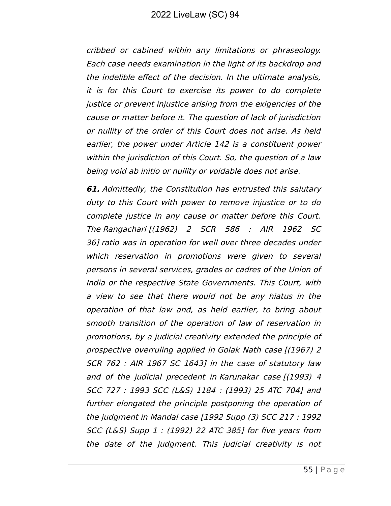cribbed or cabined within any limitations or phraseology. Each case needs examination in the light of its backdrop and the indelible effect of the decision. In the ultimate analysis, it is for this Court to exercise its power to do complete justice or prevent injustice arising from the exigencies of the cause or matter before it. The question of lack of jurisdiction or nullity of the order of this Court does not arise. As held earlier, the power under Article 142 is a constituent power within the jurisdiction of this Court. So, the question of a law being void ab initio or nullity or voidable does not arise.

**61.** Admittedly, the Constitution has entrusted this salutary duty to this Court with power to remove injustice or to do complete justice in any cause or matter before this Court. The Rangachari [(1962) 2 SCR 586 : AIR 1962 SC 36] ratio was in operation for well over three decades under which reservation in promotions were given to several persons in several services, grades or cadres of the Union of India or the respective State Governments. This Court, with a view to see that there would not be any hiatus in the operation of that law and, as held earlier, to bring about smooth transition of the operation of law of reservation in promotions, by a judicial creativity extended the principle of prospective overruling applied in Golak Nath case [(1967) 2 SCR 762 : AIR 1967 SC 1643] in the case of statutory law and of the judicial precedent in Karunakar case [(1993) 4 SCC 727 : 1993 SCC (L&S) 1184 : (1993) 25 ATC 704] and further elongated the principle postponing the operation of the judgment in Mandal case [1992 Supp (3) SCC 217 : 1992 SCC (L&S) Supp 1 : (1992) 22 ATC 385] for five years from the date of the judgment. This judicial creativity is not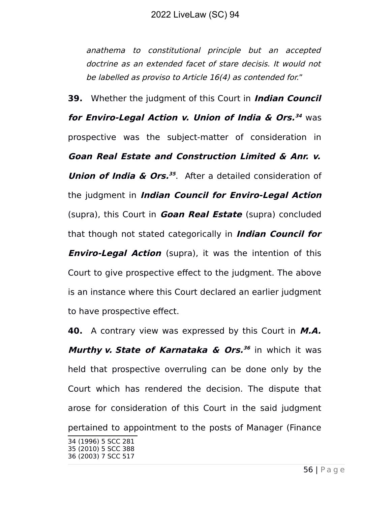anathema to constitutional principle but an accepted doctrine as an extended facet of stare decisis. It would not be labelled as proviso to Article 16(4) as contended for."

**39.** Whether the judgment of this Court in **Indian Council for Enviro-Legal Action v. Union of India & Ors. [34](#page-55-0)** was prospective was the subject-matter of consideration in **Goan Real Estate and Construction Limited & Anr. v. Union of India & Ors. [35](#page-55-1)** . After a detailed consideration of the judgment in **Indian Council for Enviro-Legal Action** (supra), this Court in **Goan Real Estate** (supra) concluded that though not stated categorically in **Indian Council for Enviro-Legal Action** (supra), it was the intention of this Court to give prospective effect to the judgment. The above is an instance where this Court declared an earlier judgment to have prospective effect.

**40.** A contrary view was expressed by this Court in **M.A. Murthy v. State of Karnataka & Ors. [36](#page-55-2)** in which it was held that prospective overruling can be done only by the Court which has rendered the decision. The dispute that arose for consideration of this Court in the said judgment pertained to appointment to the posts of Manager (Finance

<span id="page-55-2"></span><span id="page-55-1"></span><span id="page-55-0"></span><sup>34</sup> (1996) 5 SCC 281 35 (2010) 5 SCC 388 36 (2003) 7 SCC 517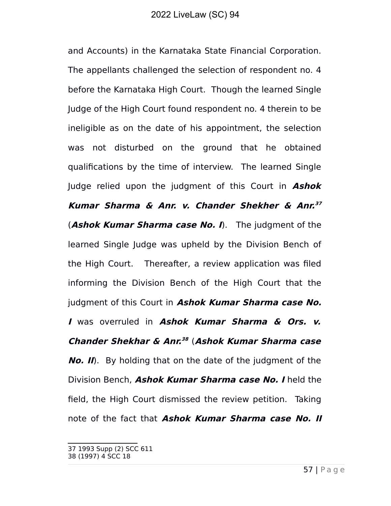and Accounts) in the Karnataka State Financial Corporation. The appellants challenged the selection of respondent no. 4 before the Karnataka High Court. Though the learned Single Judge of the High Court found respondent no. 4 therein to be ineligible as on the date of his appointment, the selection was not disturbed on the ground that he obtained qualifications by the time of interview. The learned Single Judge relied upon the judgment of this Court in **Ashok Kumar Sharma & Anr. v. Chander Shekher & Anr. [37](#page-56-0)** (**Ashok Kumar Sharma case No. I**). The judgment of the learned Single Judge was upheld by the Division Bench of the High Court. Thereafter, a review application was filed informing the Division Bench of the High Court that the judgment of this Court in **Ashok Kumar Sharma case No. I** was overruled in **Ashok Kumar Sharma & Ors. v. Chander Shekhar & Anr. [38](#page-56-1)** (**Ashok Kumar Sharma case No. II**). By holding that on the date of the judgment of the Division Bench, **Ashok Kumar Sharma case No. I** held the field, the High Court dismissed the review petition. Taking note of the fact that **Ashok Kumar Sharma case No. II**

<span id="page-56-0"></span><sup>37 1993</sup> Supp (2) SCC 611

<span id="page-56-1"></span><sup>38</sup> (1997) 4 SCC 18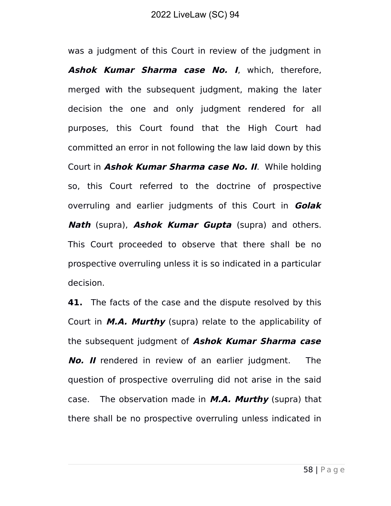was a judgment of this Court in review of the judgment in **Ashok Kumar Sharma case No. I**, which, therefore, merged with the subsequent judgment, making the later decision the one and only judgment rendered for all purposes, this Court found that the High Court had committed an error in not following the law laid down by this Court in **Ashok Kumar Sharma case No. II**. While holding so, this Court referred to the doctrine of prospective overruling and earlier judgments of this Court in **Golak Nath** (supra), **Ashok Kumar Gupta** (supra) and others. This Court proceeded to observe that there shall be no prospective overruling unless it is so indicated in a particular decision.

**41.** The facts of the case and the dispute resolved by this Court in **M.A. Murthy** (supra) relate to the applicability of the subsequent judgment of **Ashok Kumar Sharma case No. II** rendered in review of an earlier judgment. The question of prospective overruling did not arise in the said case. The observation made in **M.A. Murthy** (supra) that there shall be no prospective overruling unless indicated in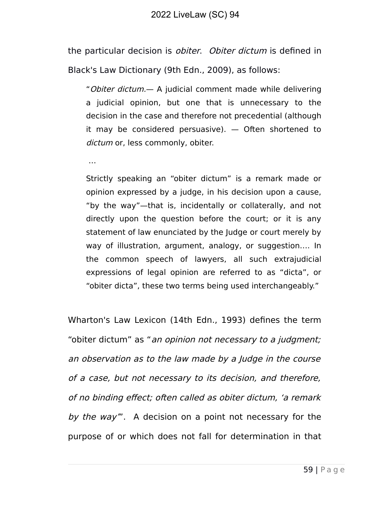the particular decision is *obiter. Obiter dictum* is defined in Black's Law Dictionary (9th Edn., 2009), as follows:

"Obiter dictum.— A judicial comment made while delivering a judicial opinion, but one that is unnecessary to the decision in the case and therefore not precedential (although it may be considered persuasive). — Often shortened to dictum or, less commonly, obiter.

…

Strictly speaking an "obiter dictum" is a remark made or opinion expressed by a judge, in his decision upon a cause, "by the way"—that is, incidentally or collaterally, and not directly upon the question before the court; or it is any statement of law enunciated by the Judge or court merely by way of illustration, argument, analogy, or suggestion…. In the common speech of lawyers, all such extrajudicial expressions of legal opinion are referred to as "dicta", or "obiter dicta", these two terms being used interchangeably."

Wharton's Law Lexicon (14th Edn., 1993) defines the term "obiter dictum" as "an opinion not necessary to a judgment; an observation as to the law made by a Judge in the course of a case, but not necessary to its decision, and therefore, of no binding effect; often called as obiter dictum, 'a remark by the way". A decision on a point not necessary for the purpose of or which does not fall for determination in that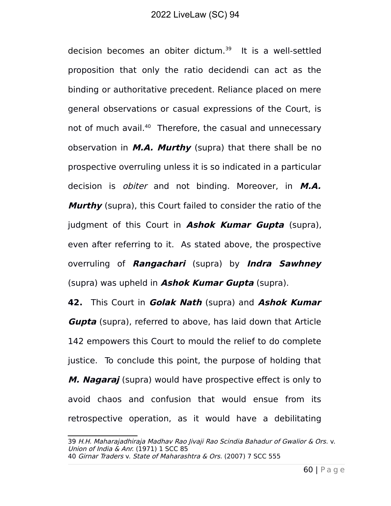decision becomes an obiter dictum.<sup>[39](#page-59-0)</sup> It is a well-settled proposition that only the ratio decidendi can act as the binding or authoritative precedent. Reliance placed on mere general observations or casual expressions of the Court, is not of much avail.<sup>[40](#page-59-1)</sup> Therefore, the casual and unnecessary observation in **M.A. Murthy** (supra) that there shall be no prospective overruling unless it is so indicated in a particular decision is obiter and not binding. Moreover, in **M.A. Murthy** (supra), this Court failed to consider the ratio of the judgment of this Court in **Ashok Kumar Gupta** (supra), even after referring to it. As stated above, the prospective overruling of **Rangachari** (supra) by **Indra Sawhney** (supra) was upheld in **Ashok Kumar Gupta** (supra).

**42.** This Court in **Golak Nath** (supra) and **Ashok Kumar Gupta** (supra), referred to above, has laid down that Article 142 empowers this Court to mould the relief to do complete justice. To conclude this point, the purpose of holding that **M. Nagaraj** (supra) would have prospective effect is only to avoid chaos and confusion that would ensue from its retrospective operation, as it would have a debilitating

<span id="page-59-1"></span><span id="page-59-0"></span><sup>39</sup> H.H. Maharajadhiraja Madhav Rao Jivaji Rao Scindia Bahadur of Gwalior & Ors. v. Union of India & Anr. (1971) 1 SCC 85 40 Girnar Traders v. State of Maharashtra & Ors. (2007) 7 SCC 555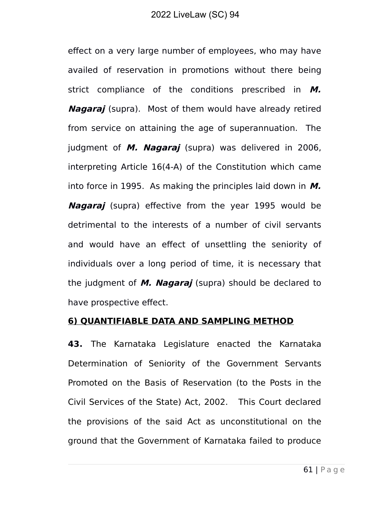effect on a very large number of employees, who may have availed of reservation in promotions without there being strict compliance of the conditions prescribed in **M. Nagaraj** (supra). Most of them would have already retired from service on attaining the age of superannuation. The judgment of **M. Nagaraj** (supra) was delivered in 2006, interpreting Article 16(4-A) of the Constitution which came into force in 1995. As making the principles laid down in **M. Nagaraj** (supra) effective from the year 1995 would be detrimental to the interests of a number of civil servants and would have an effect of unsettling the seniority of individuals over a long period of time, it is necessary that the judgment of **M. Nagaraj** (supra) should be declared to have prospective effect.

#### **6) QUANTIFIABLE DATA AND SAMPLING METHOD**

**43.** The Karnataka Legislature enacted the Karnataka Determination of Seniority of the Government Servants Promoted on the Basis of Reservation (to the Posts in the Civil Services of the State) Act, 2002. This Court declared the provisions of the said Act as unconstitutional on the ground that the Government of Karnataka failed to produce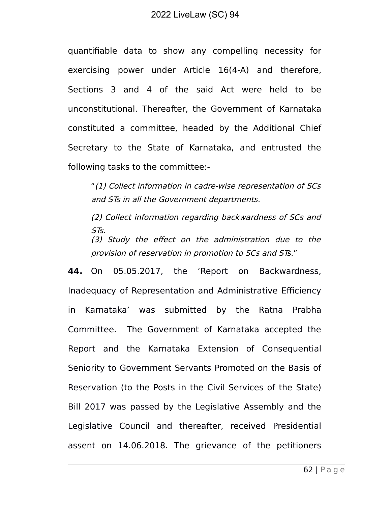quantifiable data to show any compelling necessity for exercising power under Article 16(4-A) and therefore, Sections 3 and 4 of the said Act were held to be unconstitutional. Thereafter, the Government of Karnataka constituted a committee, headed by the Additional Chief Secretary to the State of Karnataka, and entrusted the following tasks to the committee:-

"(1) Collect information in cadre-wise representation of SCs and STs in all the Government departments.

(2) Collect information regarding backwardness of SCs and STs. (3) Study the effect on the administration due to the provision of reservation in promotion to SCs and STs."

**44.** On 05.05.2017, the 'Report on Backwardness, Inadequacy of Representation and Administrative Efficiency in Karnataka' was submitted by the Ratna Prabha Committee. The Government of Karnataka accepted the Report and the Karnataka Extension of Consequential Seniority to Government Servants Promoted on the Basis of Reservation (to the Posts in the Civil Services of the State) Bill 2017 was passed by the Legislative Assembly and the Legislative Council and thereafter, received Presidential assent on 14.06.2018. The grievance of the petitioners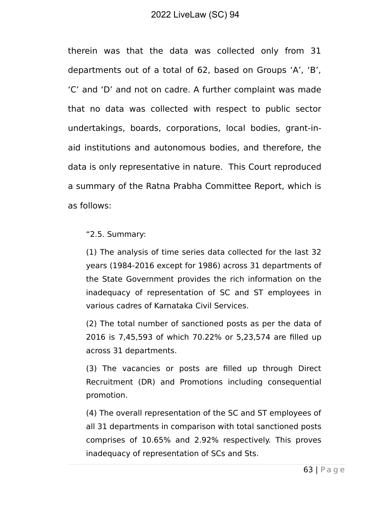therein was that the data was collected only from 31 departments out of a total of 62, based on Groups 'A', 'B', 'C' and 'D' and not on cadre. A further complaint was made that no data was collected with respect to public sector undertakings, boards, corporations, local bodies, grant-inaid institutions and autonomous bodies, and therefore, the data is only representative in nature. This Court reproduced a summary of the Ratna Prabha Committee Report, which is as follows:

"2.5. Summary:

(1) The analysis of time series data collected for the last 32 years (1984-2016 except for 1986) across 31 departments of the State Government provides the rich information on the inadequacy of representation of SC and ST employees in various cadres of Karnataka Civil Services.

(2) The total number of sanctioned posts as per the data of 2016 is 7,45,593 of which 70.22% or 5,23,574 are filled up across 31 departments.

(3) The vacancies or posts are filled up through Direct Recruitment (DR) and Promotions including consequential promotion.

(4) The overall representation of the SC and ST employees of all 31 departments in comparison with total sanctioned posts comprises of 10.65% and 2.92% respectively. This proves inadequacy of representation of SCs and Sts.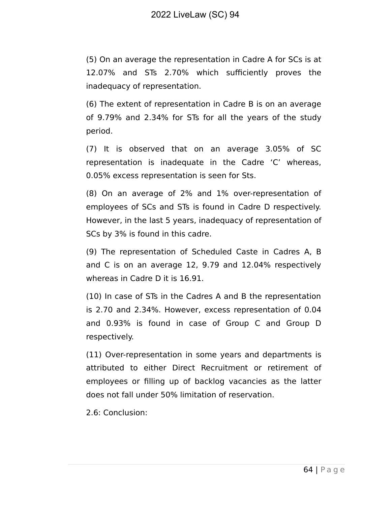(5) On an average the representation in Cadre A for SCs is at 12.07% and STs 2.70% which sufficiently proves the inadequacy of representation.

(6) The extent of representation in Cadre B is on an average of 9.79% and 2.34% for STs for all the years of the study period.

(7) It is observed that on an average 3.05% of SC representation is inadequate in the Cadre 'C' whereas, 0.05% excess representation is seen for Sts.

(8) On an average of 2% and 1% over-representation of employees of SCs and STs is found in Cadre D respectively. However, in the last 5 years, inadequacy of representation of SCs by 3% is found in this cadre.

(9) The representation of Scheduled Caste in Cadres A, B and C is on an average 12, 9.79 and 12.04% respectively whereas in Cadre D it is 16.91.

(10) In case of STs in the Cadres A and B the representation is 2.70 and 2.34%. However, excess representation of 0.04 and 0.93% is found in case of Group C and Group D respectively.

(11) Over-representation in some years and departments is attributed to either Direct Recruitment or retirement of employees or filling up of backlog vacancies as the latter does not fall under 50% limitation of reservation.

2.6: Conclusion: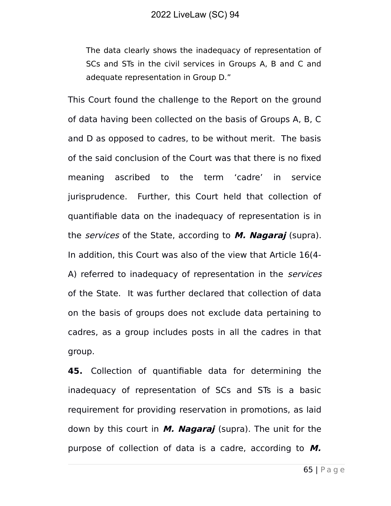The data clearly shows the inadequacy of representation of SCs and STs in the civil services in Groups A, B and C and adequate representation in Group D."

This Court found the challenge to the Report on the ground of data having been collected on the basis of Groups A, B, C and D as opposed to cadres, to be without merit. The basis of the said conclusion of the Court was that there is no fixed meaning ascribed to the term 'cadre' in service jurisprudence. Further, this Court held that collection of quantifiable data on the inadequacy of representation is in the services of the State, according to **M. Nagaraj** (supra). In addition, this Court was also of the view that Article 16(4- A) referred to inadequacy of representation in the *services* of the State. It was further declared that collection of data on the basis of groups does not exclude data pertaining to cadres, as a group includes posts in all the cadres in that group.

**45.** Collection of quantifiable data for determining the inadequacy of representation of SCs and STs is a basic requirement for providing reservation in promotions, as laid down by this court in **M. Nagaraj** (supra). The unit for the purpose of collection of data is a cadre, according to **M.**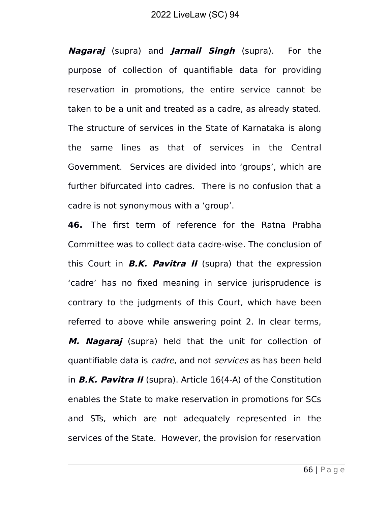**Nagaraj** (supra) and **Jarnail Singh** (supra). For the purpose of collection of quantifiable data for providing reservation in promotions, the entire service cannot be taken to be a unit and treated as a cadre, as already stated. The structure of services in the State of Karnataka is along the same lines as that of services in the Central Government. Services are divided into 'groups', which are further bifurcated into cadres. There is no confusion that a cadre is not synonymous with a 'group'.

**46.** The first term of reference for the Ratna Prabha Committee was to collect data cadre-wise. The conclusion of this Court in **B.K. Pavitra II** (supra) that the expression 'cadre' has no fixed meaning in service jurisprudence is contrary to the judgments of this Court, which have been referred to above while answering point 2. In clear terms, **M. Nagaraj** (supra) held that the unit for collection of quantifiable data is *cadre*, and not *services* as has been held in **B.K. Pavitra II** (supra). Article 16(4-A) of the Constitution enables the State to make reservation in promotions for SCs and STs, which are not adequately represented in the services of the State. However, the provision for reservation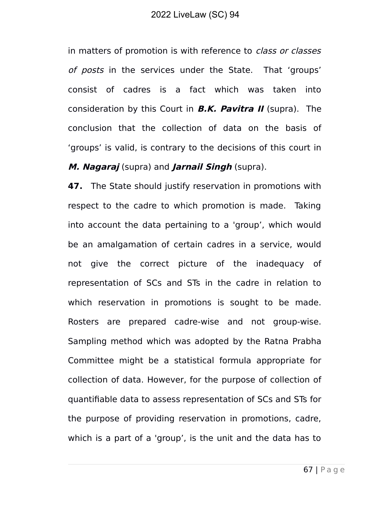in matters of promotion is with reference to *class or classes* of posts in the services under the State. That 'groups' consist of cadres is a fact which was taken into consideration by this Court in **B.K. Pavitra II** (supra). The conclusion that the collection of data on the basis of 'groups' is valid, is contrary to the decisions of this court in

#### **M. Nagaraj** (supra) and **Jarnail Singh** (supra).

**47.** The State should justify reservation in promotions with respect to the cadre to which promotion is made. Taking into account the data pertaining to a 'group', which would be an amalgamation of certain cadres in a service, would not give the correct picture of the inadequacy of representation of SCs and STs in the cadre in relation to which reservation in promotions is sought to be made. Rosters are prepared cadre-wise and not group-wise. Sampling method which was adopted by the Ratna Prabha Committee might be a statistical formula appropriate for collection of data. However, for the purpose of collection of quantifiable data to assess representation of SCs and STs for the purpose of providing reservation in promotions, cadre, which is a part of a 'group', is the unit and the data has to